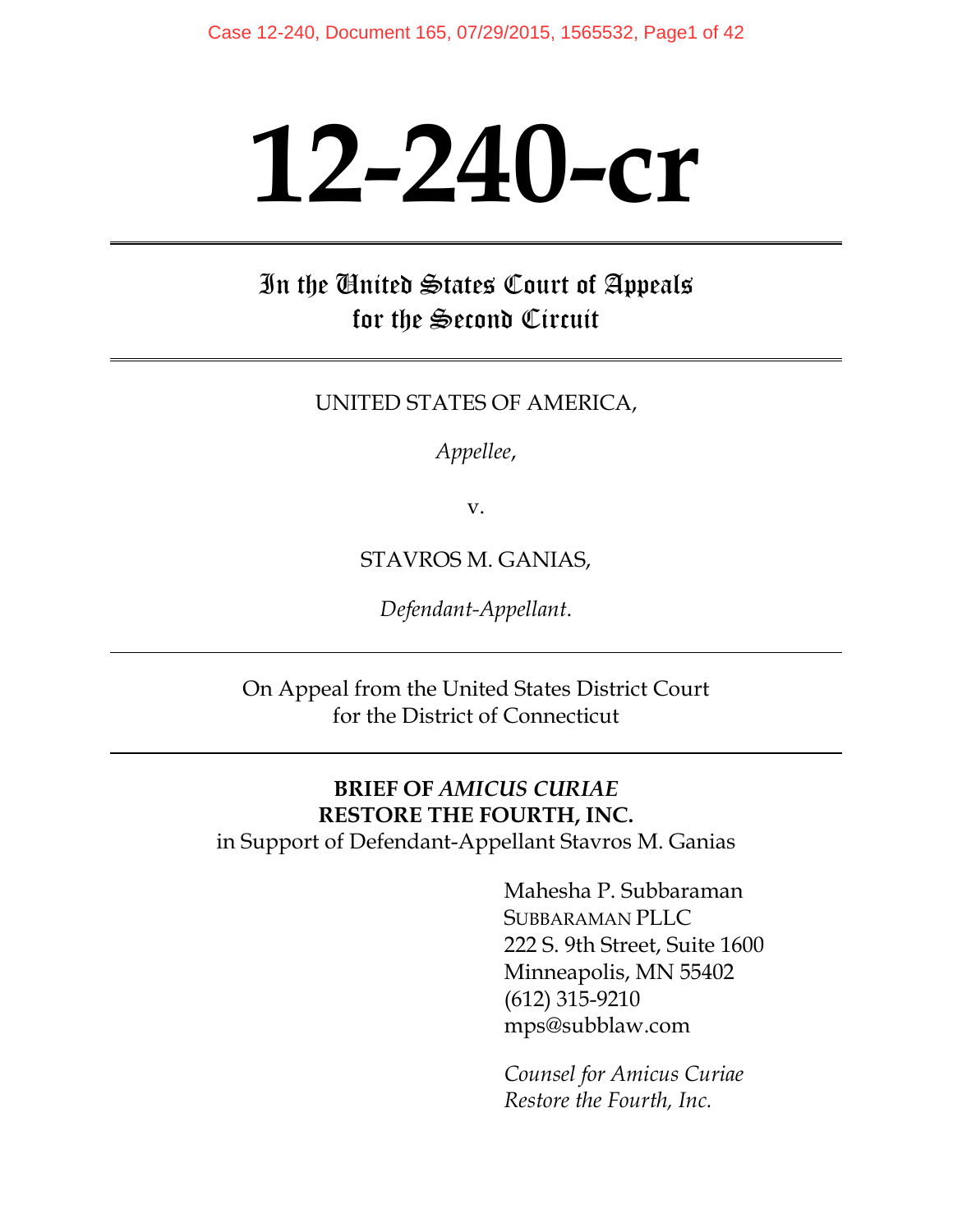# **12-240-cr**

In the United States Court of Appeals for the Second Circuit

UNITED STATES OF AMERICA,

*Appellee*,

v.

STAVROS M. GANIAS,

*Defendant-Appellant*.

On Appeal from the United States District Court for the District of Connecticut

#### **BRIEF OF** *AMICUS CURIAE* **RESTORE THE FOURTH, INC.**

in Support of Defendant-Appellant Stavros M. Ganias

Mahesha P. Subbaraman SUBBARAMAN PLLC 222 S. 9th Street, Suite 1600 Minneapolis, MN 55402 (612) 315-9210 mps@subblaw.com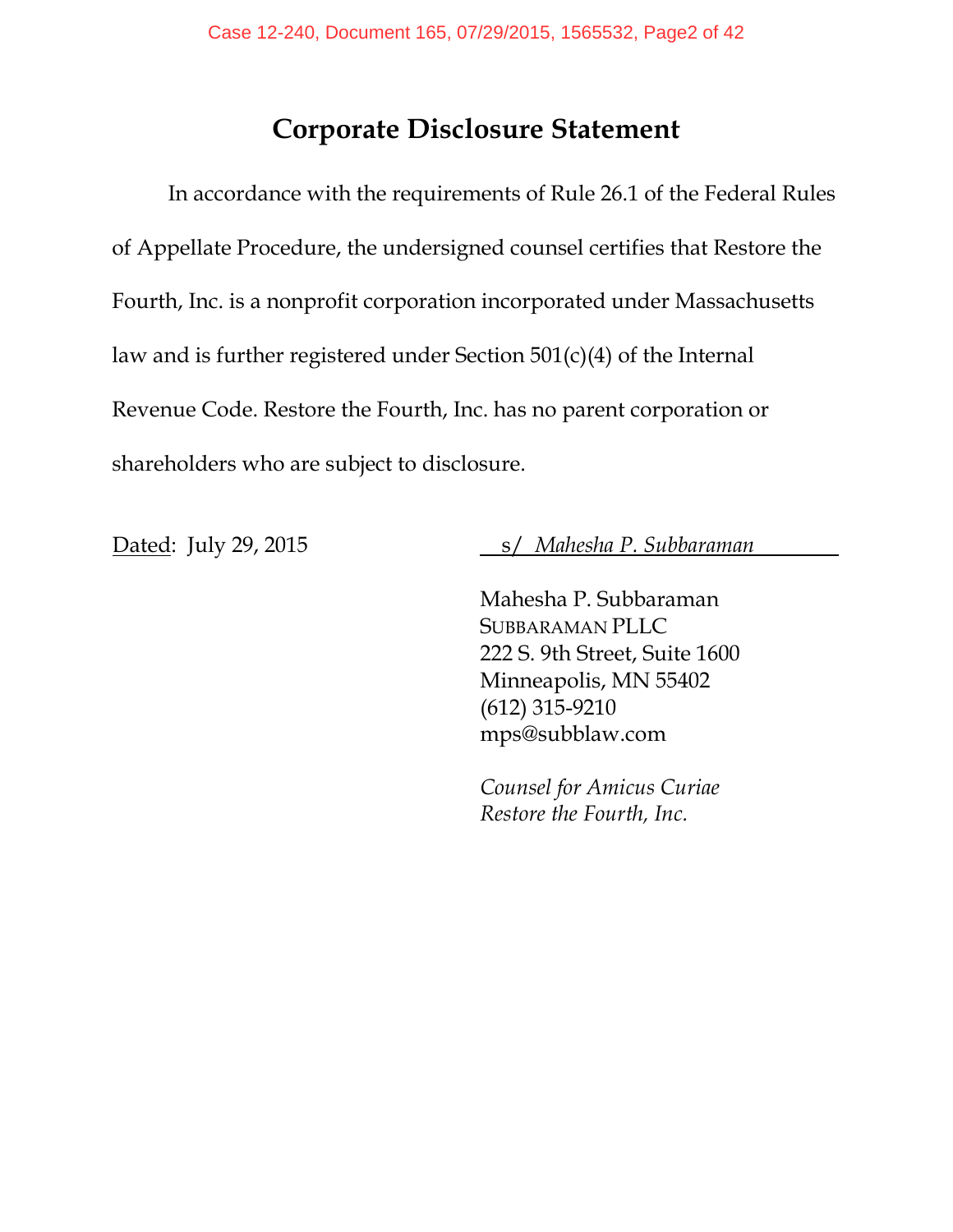## **Corporate Disclosure Statement**

In accordance with the requirements of Rule 26.1 of the Federal Rules of Appellate Procedure, the undersigned counsel certifies that Restore the Fourth, Inc. is a nonprofit corporation incorporated under Massachusetts law and is further registered under Section 501(c)(4) of the Internal Revenue Code. Restore the Fourth, Inc. has no parent corporation or shareholders who are subject to disclosure.

Dated: July 29, 2015 s/ *Mahesha P. Subbaraman* 

Mahesha P. Subbaraman SUBBARAMAN PLLC 222 S. 9th Street, Suite 1600 Minneapolis, MN 55402 (612) 315-9210 mps@subblaw.com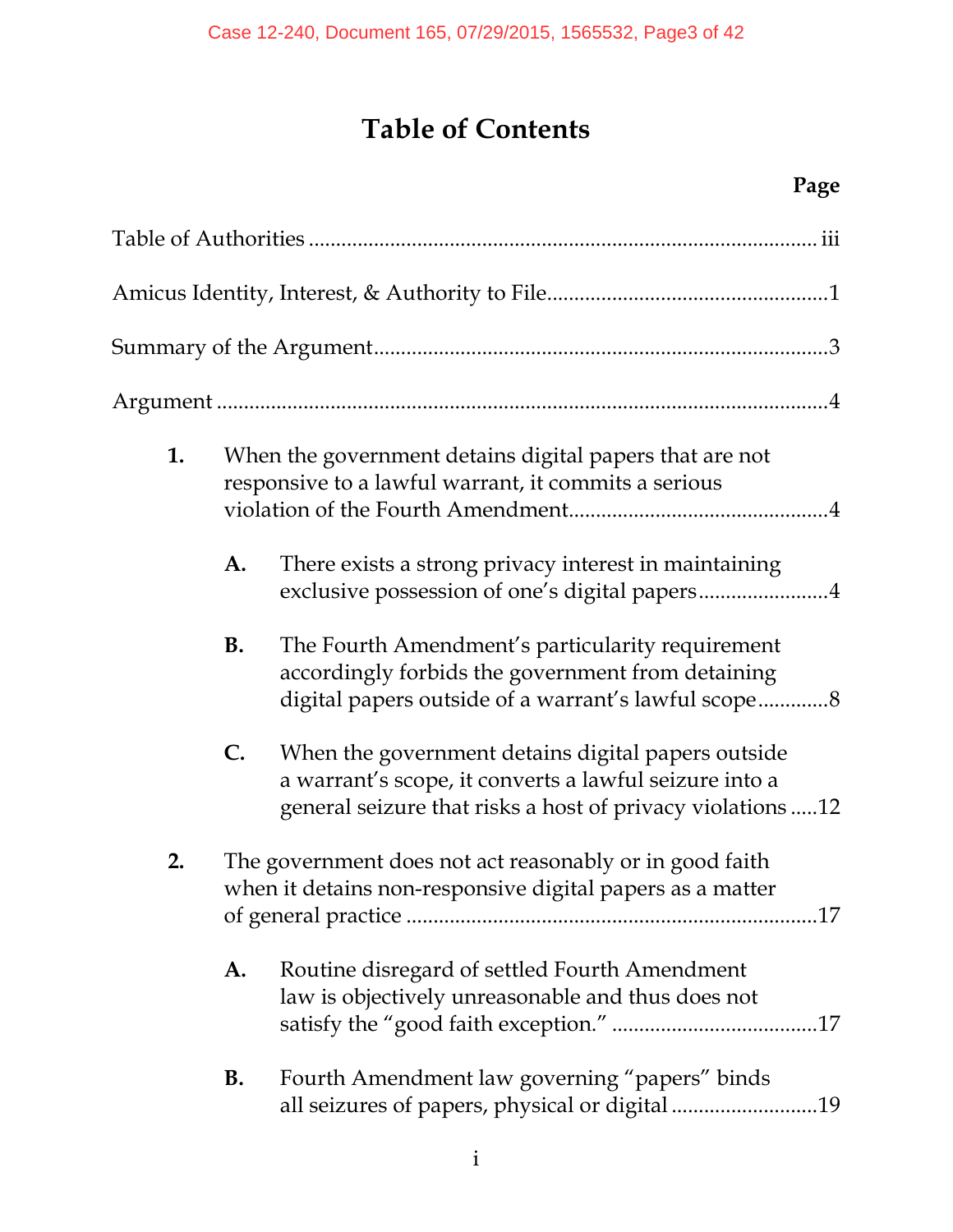# **Table of Contents**

## **Page**

| 1. |           | When the government detains digital papers that are not<br>responsive to a lawful warrant, it commits a serious                                                            |  |  |  |
|----|-----------|----------------------------------------------------------------------------------------------------------------------------------------------------------------------------|--|--|--|
|    | A.        | There exists a strong privacy interest in maintaining                                                                                                                      |  |  |  |
|    | <b>B.</b> | The Fourth Amendment's particularity requirement<br>accordingly forbids the government from detaining<br>digital papers outside of a warrant's lawful scope8               |  |  |  |
|    | C.        | When the government detains digital papers outside<br>a warrant's scope, it converts a lawful seizure into a<br>general seizure that risks a host of privacy violations 12 |  |  |  |
| 2. |           | The government does not act reasonably or in good faith<br>when it detains non-responsive digital papers as a matter                                                       |  |  |  |
|    | A.        | Routine disregard of settled Fourth Amendment<br>law is objectively unreasonable and thus does not                                                                         |  |  |  |
|    | <b>B.</b> | Fourth Amendment law governing "papers" binds<br>all seizures of papers, physical or digital 19                                                                            |  |  |  |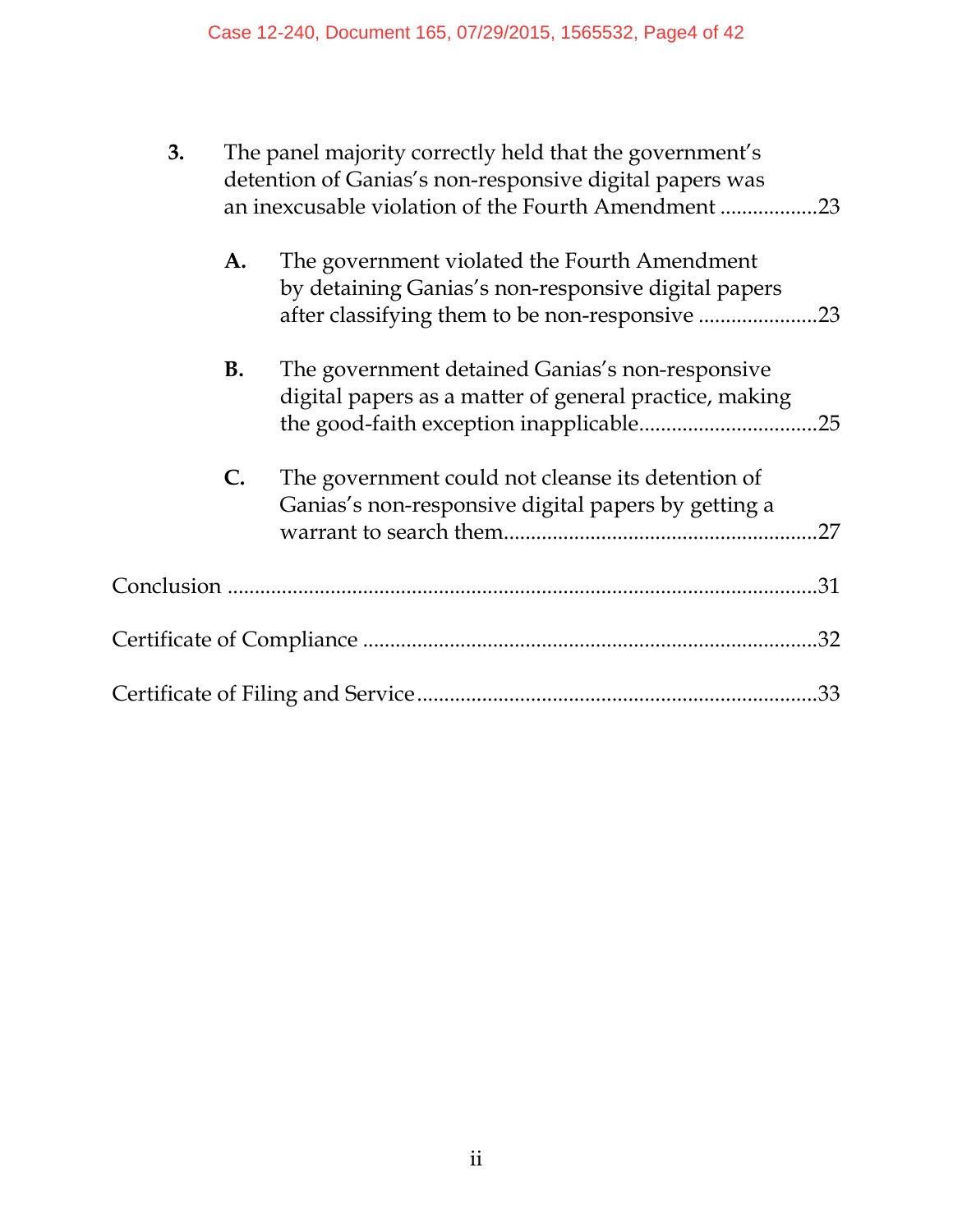| 3. | The panel majority correctly held that the government's<br>detention of Ganias's non-responsive digital papers was<br>an inexcusable violation of the Fourth Amendment 23 |                                                                                                                                                       |  |
|----|---------------------------------------------------------------------------------------------------------------------------------------------------------------------------|-------------------------------------------------------------------------------------------------------------------------------------------------------|--|
|    | A.                                                                                                                                                                        | The government violated the Fourth Amendment<br>by detaining Ganias's non-responsive digital papers<br>after classifying them to be non-responsive 23 |  |
|    | <b>B.</b>                                                                                                                                                                 | The government detained Ganias's non-responsive<br>digital papers as a matter of general practice, making                                             |  |
|    | $\mathbf{C}$ .                                                                                                                                                            | The government could not cleanse its detention of<br>Ganias's non-responsive digital papers by getting a<br>.27                                       |  |
|    |                                                                                                                                                                           |                                                                                                                                                       |  |
|    |                                                                                                                                                                           | .32                                                                                                                                                   |  |
|    |                                                                                                                                                                           |                                                                                                                                                       |  |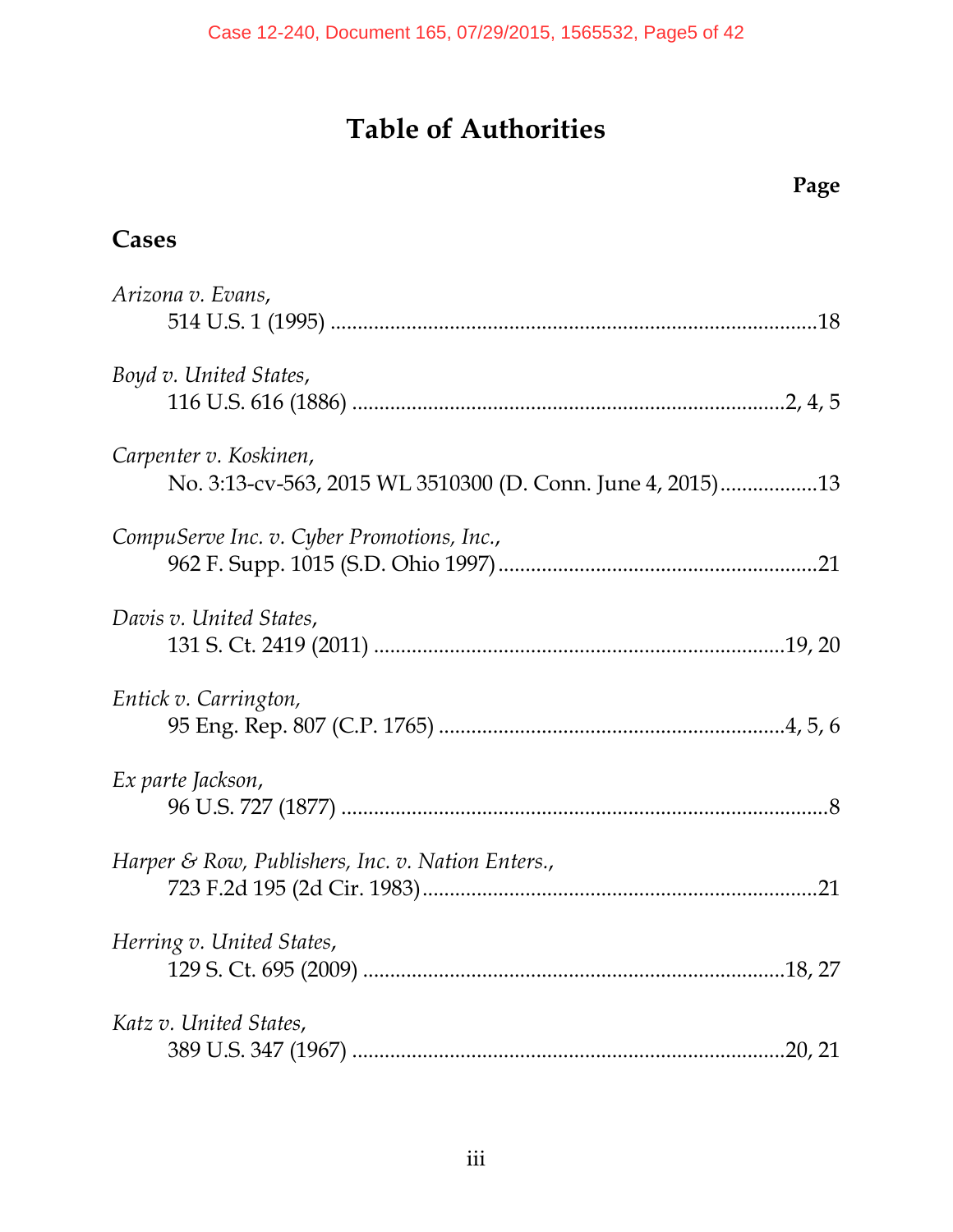# **Table of Authorities**

**Page** 

| Cases                                             |
|---------------------------------------------------|
| Arizona v. Evans,                                 |
| Boyd v. United States,                            |
| Carpenter v. Koskinen,                            |
| CompuServe Inc. v. Cyber Promotions, Inc.,        |
| Davis v. United States,                           |
| Entick v. Carrington,                             |
| Ex parte Jackson,                                 |
| Harper & Row, Publishers, Inc. v. Nation Enters., |
| Herring v. United States,                         |
| Katz v. United States,                            |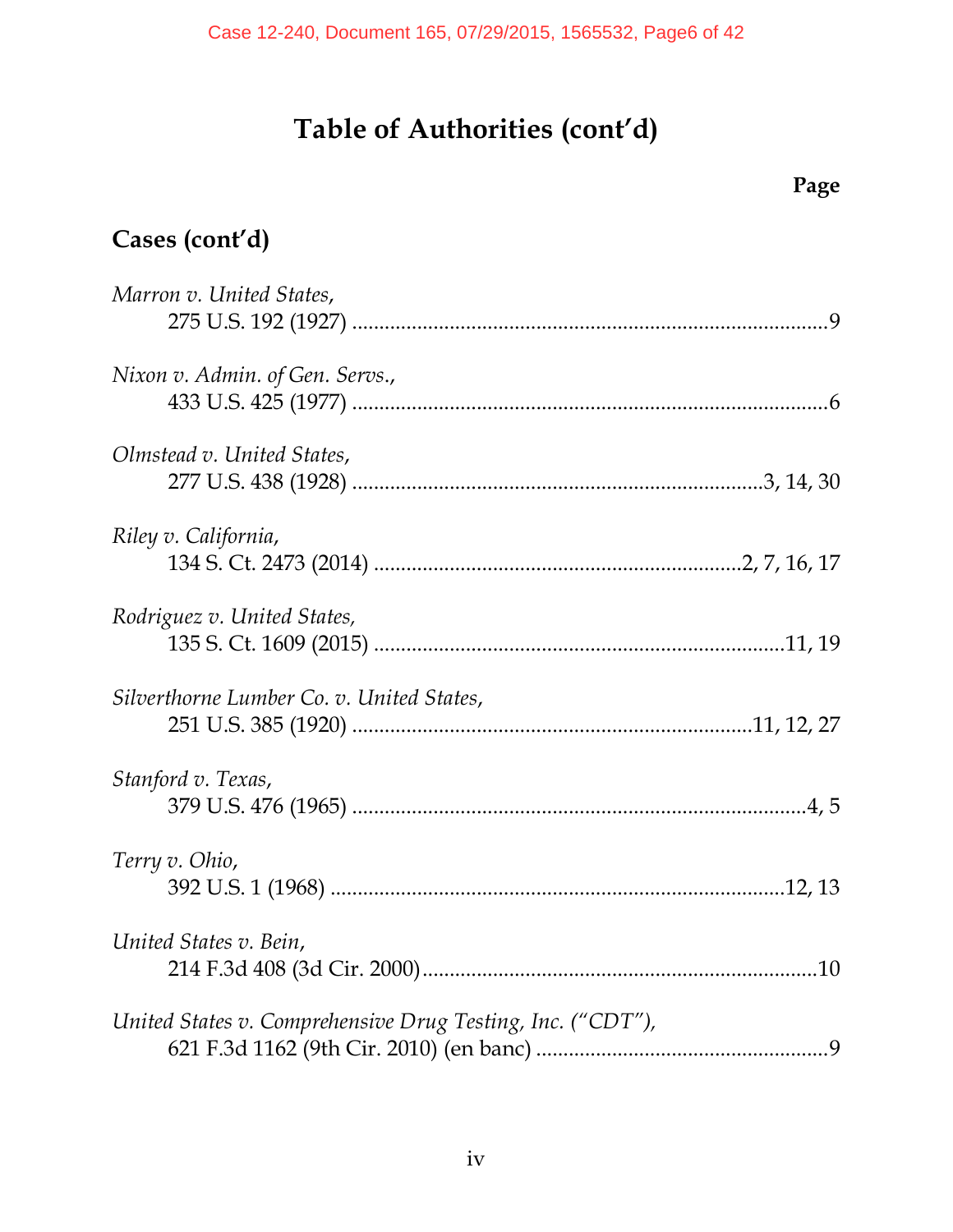# **Cases (cont'd)**

| Marron v. United States,                                   |  |
|------------------------------------------------------------|--|
|                                                            |  |
| Nixon v. Admin. of Gen. Servs.,                            |  |
|                                                            |  |
| Olmstead v. United States,                                 |  |
|                                                            |  |
| Riley v. California,                                       |  |
|                                                            |  |
| Rodriguez v. United States,                                |  |
|                                                            |  |
| Silverthorne Lumber Co. v. United States,                  |  |
|                                                            |  |
| Stanford v. Texas,                                         |  |
|                                                            |  |
| Terry v. Ohio,                                             |  |
|                                                            |  |
| United States v. Bein,                                     |  |
|                                                            |  |
| United States v. Comprehensive Drug Testing, Inc. ("CDT"), |  |
|                                                            |  |
|                                                            |  |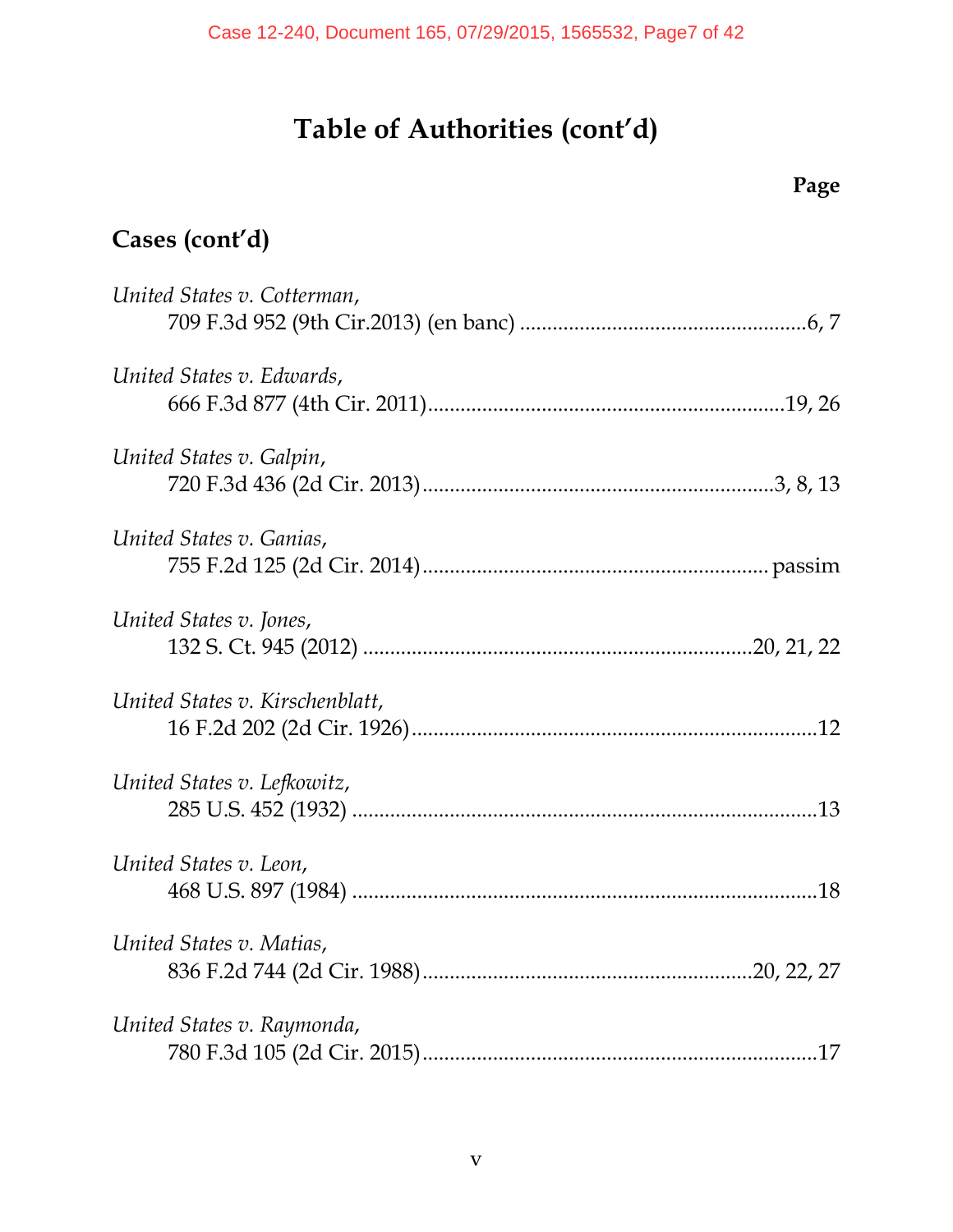## **Page**

# **Cases (cont'd)**

| United States v. Cotterman,     |
|---------------------------------|
| United States v. Edwards,       |
| United States v. Galpin,        |
| United States v. Ganias,        |
| United States v. Jones,         |
| United States v. Kirschenblatt, |
| United States v. Lefkowitz,     |
| United States v. Leon,          |
| United States v. Matias,        |
| United States v. Raymonda,      |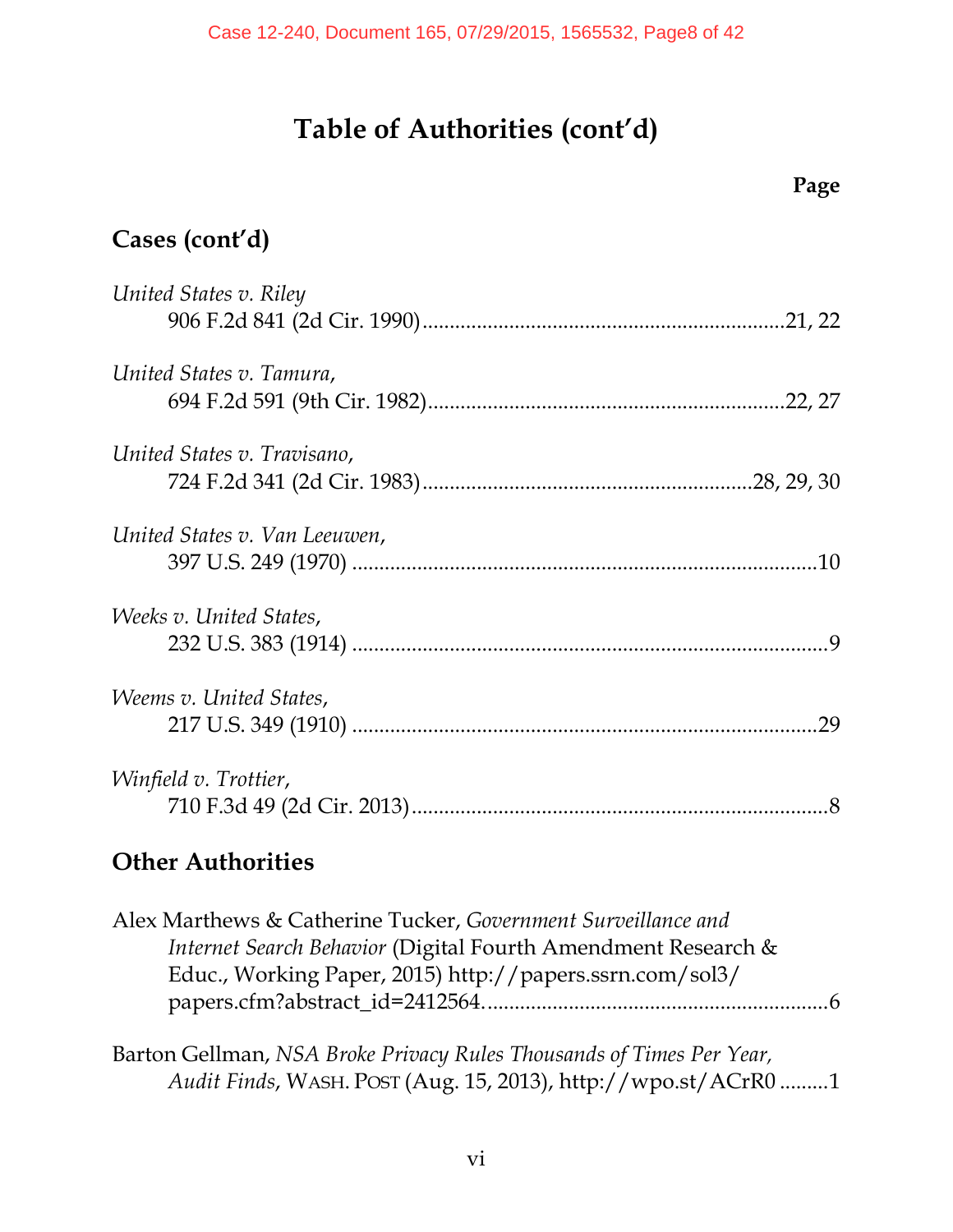**Page** 

| Cases (cont'd)                                                                                                                                                                                                                                                                                                                 |  |
|--------------------------------------------------------------------------------------------------------------------------------------------------------------------------------------------------------------------------------------------------------------------------------------------------------------------------------|--|
| United States v. Riley                                                                                                                                                                                                                                                                                                         |  |
| United States v. Tamura,                                                                                                                                                                                                                                                                                                       |  |
| United States v. Travisano,                                                                                                                                                                                                                                                                                                    |  |
| United States v. Van Leeuwen,                                                                                                                                                                                                                                                                                                  |  |
| Weeks v. United States,                                                                                                                                                                                                                                                                                                        |  |
| <i>Weems v. United States,</i>                                                                                                                                                                                                                                                                                                 |  |
| Winfield v. Trottier,                                                                                                                                                                                                                                                                                                          |  |
| $\bigcap_{i=1}^{n}$ $\bigcup_{i=1}^{n}$ $\bigcap_{i=1}^{n}$ $\bigcap_{i=1}^{n}$ $\bigcap_{i=1}^{n}$ $\bigcap_{i=1}^{n}$ $\bigcap_{i=1}^{n}$ $\bigcap_{i=1}^{n}$ $\bigcap_{i=1}^{n}$ $\bigcap_{i=1}^{n}$ $\bigcap_{i=1}^{n}$ $\bigcap_{i=1}^{n}$ $\bigcap_{i=1}^{n}$ $\bigcap_{i=1}^{n}$ $\bigcap_{i=1}^{n}$ $\bigcap_{i=1}^{n$ |  |

### **Other Authorities**

| Alex Marthews & Catherine Tucker, Government Surveillance and |  |
|---------------------------------------------------------------|--|
| Internet Search Behavior (Digital Fourth Amendment Research & |  |
| Educ., Working Paper, 2015) http://papers.ssrn.com/sol3/      |  |
|                                                               |  |
|                                                               |  |

Barton Gellman, *NSA Broke Privacy Rules Thousands of Times Per Year, Audit Finds*, WASH. POST (Aug. 15, 2013), http://wpo.st/ACrR0 ......... 1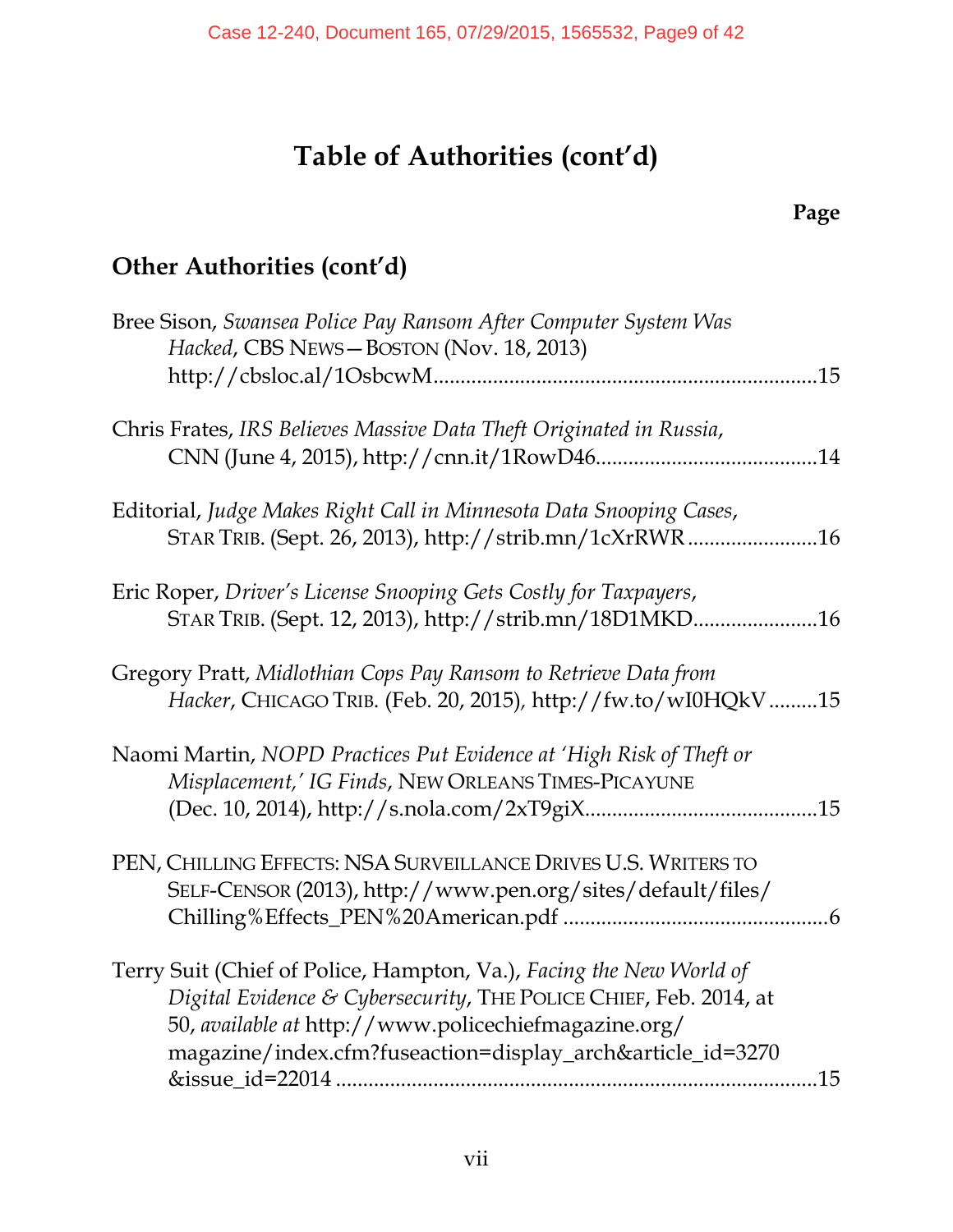## **Page**

## **Other Authorities (cont'd)**

| Bree Sison, Swansea Police Pay Ransom After Computer System Was<br>Hacked, CBS NEWS-BOSTON (Nov. 18, 2013)                                                                                                                                                            |
|-----------------------------------------------------------------------------------------------------------------------------------------------------------------------------------------------------------------------------------------------------------------------|
|                                                                                                                                                                                                                                                                       |
| Chris Frates, IRS Believes Massive Data Theft Originated in Russia,                                                                                                                                                                                                   |
| Editorial, Judge Makes Right Call in Minnesota Data Snooping Cases,<br>STAR TRIB. (Sept. 26, 2013), http://strib.mn/1cXrRWR16                                                                                                                                         |
| Eric Roper, Driver's License Snooping Gets Costly for Taxpayers,<br>STAR TRIB. (Sept. 12, 2013), http://strib.mn/18D1MKD16                                                                                                                                            |
| Gregory Pratt, Midlothian Cops Pay Ransom to Retrieve Data from<br>Hacker, CHICAGO TRIB. (Feb. 20, 2015), http://fw.to/wI0HQkV15                                                                                                                                      |
| Naomi Martin, NOPD Practices Put Evidence at 'High Risk of Theft or<br>Misplacement,' IG Finds, NEW ORLEANS TIMES-PICAYUNE                                                                                                                                            |
| PEN, CHILLING EFFECTS: NSA SURVEILLANCE DRIVES U.S. WRITERS TO<br>SELF-CENSOR (2013), http://www.pen.org/sites/default/files/                                                                                                                                         |
| Terry Suit (Chief of Police, Hampton, Va.), Facing the New World of<br>Digital Evidence & Cybersecurity, THE POLICE CHIEF, Feb. 2014, at<br>50, available at http://www.policechiefmagazine.org/<br>magazine/index.cfm?fuseaction=display_arch&article_id=3270<br>.15 |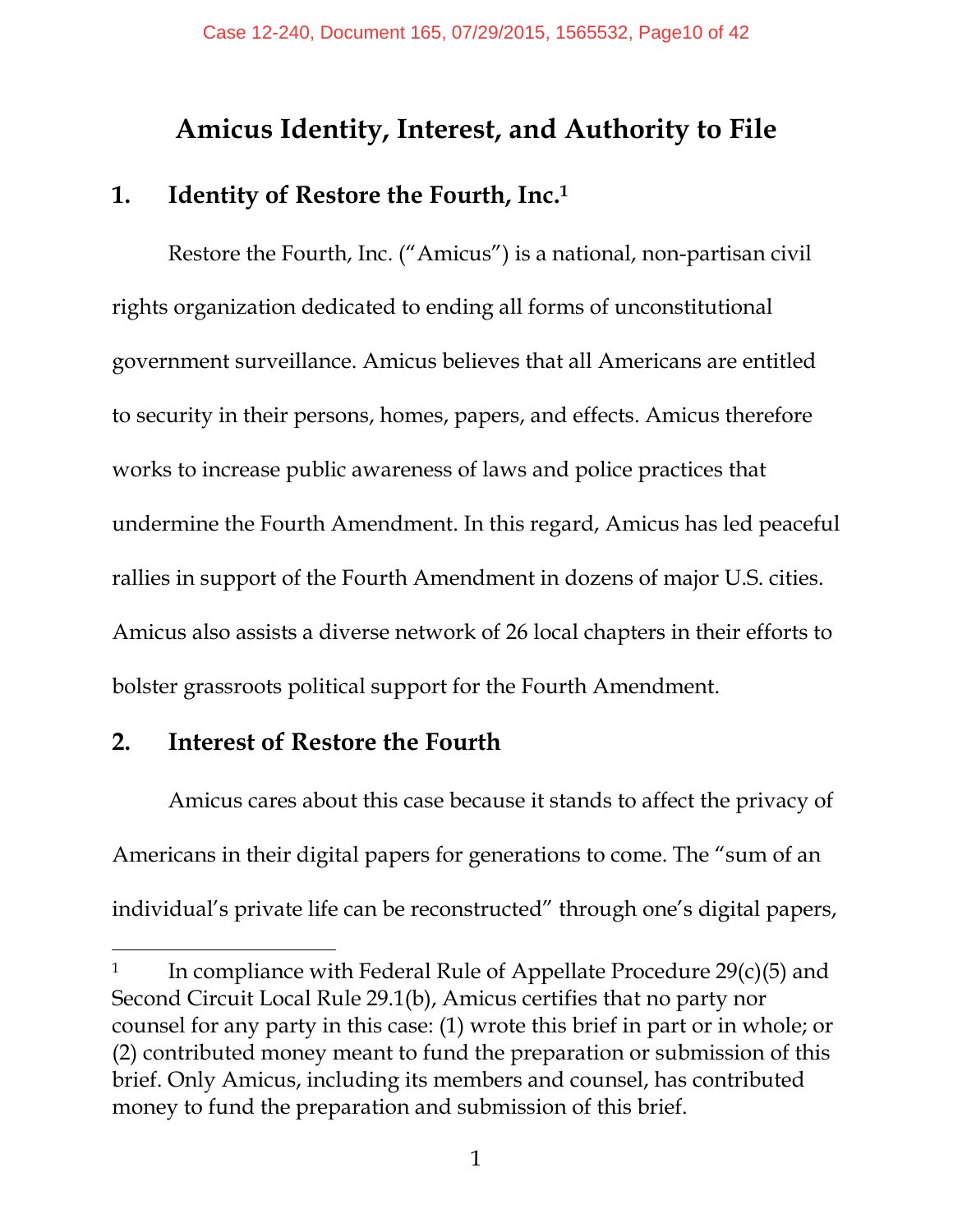## **Amicus Identity, Interest, and Authority to File**

#### **1. Identity of Restore the Fourth, Inc.<sup>1</sup>**

Restore the Fourth, Inc. ("Amicus") is a national, non-partisan civil rights organization dedicated to ending all forms of unconstitutional government surveillance. Amicus believes that all Americans are entitled to security in their persons, homes, papers, and effects. Amicus therefore works to increase public awareness of laws and police practices that undermine the Fourth Amendment. In this regard, Amicus has led peaceful rallies in support of the Fourth Amendment in dozens of major U.S. cities. Amicus also assists a diverse network of 26 local chapters in their efforts to bolster grassroots political support for the Fourth Amendment.

#### **2. Interest of Restore the Fourth**

-

Amicus cares about this case because it stands to affect the privacy of Americans in their digital papers for generations to come. The "sum of an individual's private life can be reconstructed" through one's digital papers,

<sup>1</sup> In compliance with Federal Rule of Appellate Procedure 29(c)(5) and Second Circuit Local Rule 29.1(b), Amicus certifies that no party nor counsel for any party in this case: (1) wrote this brief in part or in whole; or (2) contributed money meant to fund the preparation or submission of this brief. Only Amicus, including its members and counsel, has contributed money to fund the preparation and submission of this brief.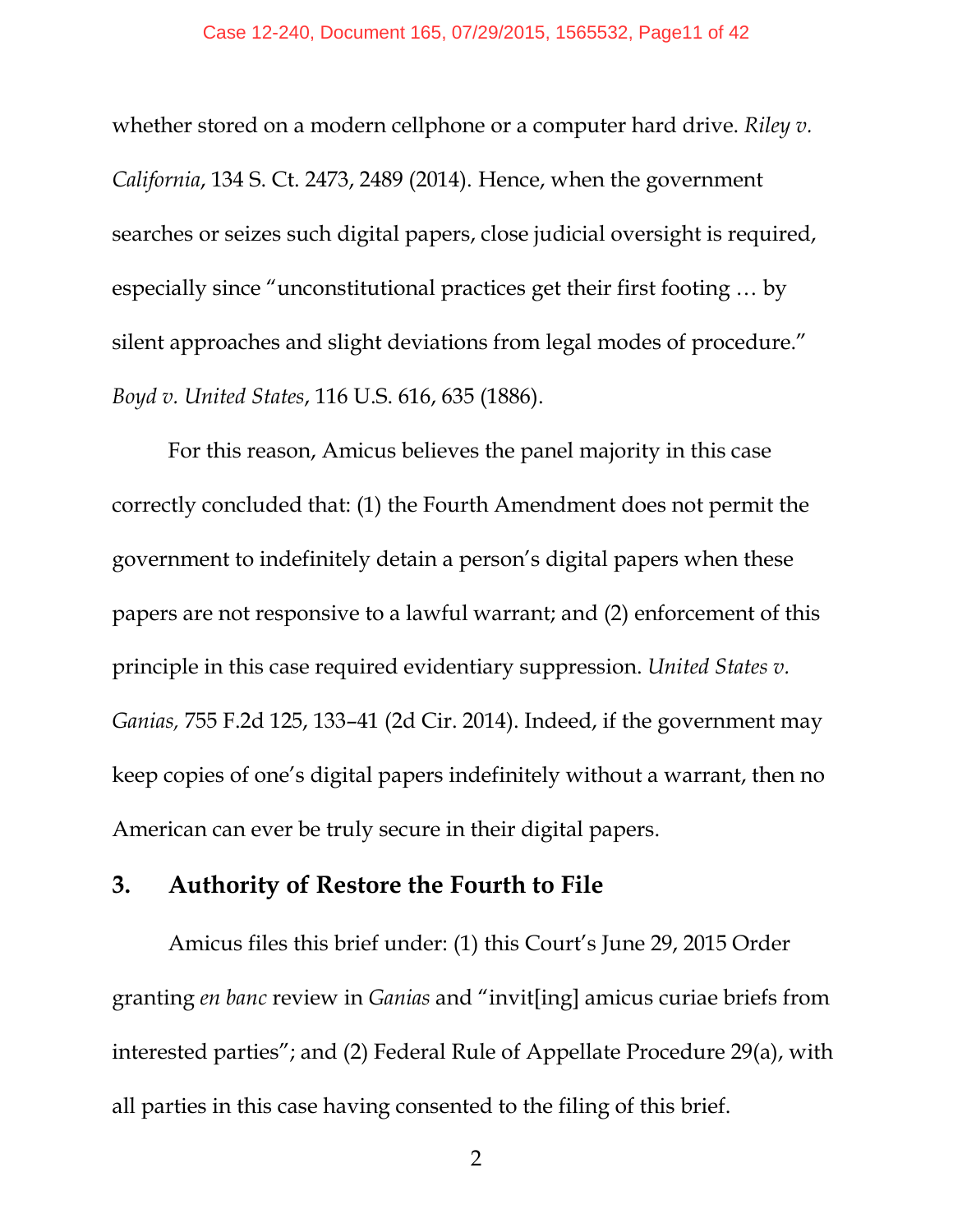whether stored on a modern cellphone or a computer hard drive. *Riley v. California*, 134 S. Ct. 2473, 2489 (2014). Hence, when the government searches or seizes such digital papers, close judicial oversight is required, especially since "unconstitutional practices get their first footing … by silent approaches and slight deviations from legal modes of procedure." *Boyd v. United States*, 116 U.S. 616, 635 (1886).

For this reason, Amicus believes the panel majority in this case correctly concluded that: (1) the Fourth Amendment does not permit the government to indefinitely detain a person's digital papers when these papers are not responsive to a lawful warrant; and (2) enforcement of this principle in this case required evidentiary suppression. *United States v. Ganias,* 755 F.2d 125, 133–41 (2d Cir. 2014). Indeed, if the government may keep copies of one's digital papers indefinitely without a warrant, then no American can ever be truly secure in their digital papers.

#### **3. Authority of Restore the Fourth to File**

Amicus files this brief under: (1) this Court's June 29, 2015 Order granting *en banc* review in *Ganias* and "invit[ing] amicus curiae briefs from interested parties"; and (2) Federal Rule of Appellate Procedure 29(a), with all parties in this case having consented to the filing of this brief.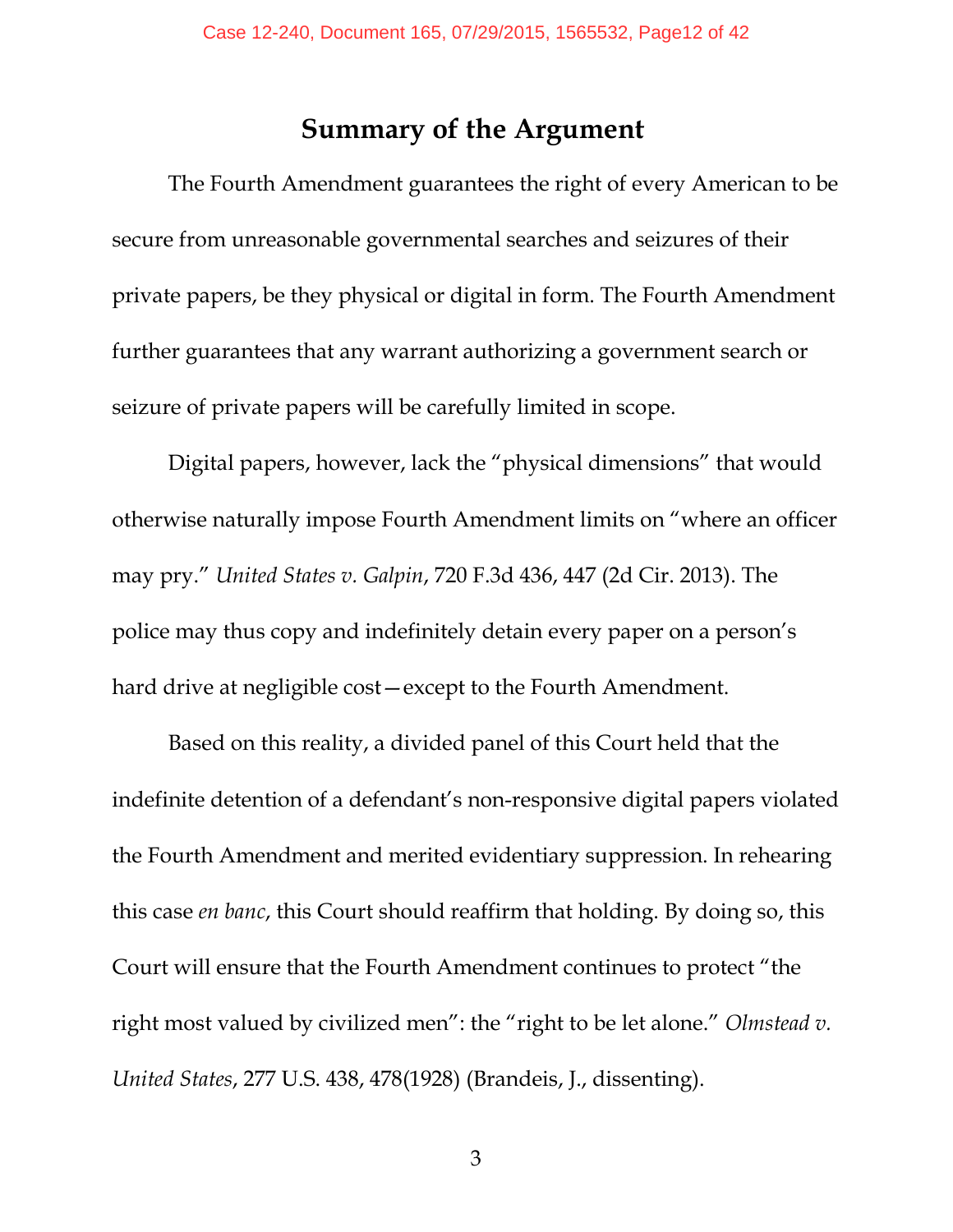#### **Summary of the Argument**

 The Fourth Amendment guarantees the right of every American to be secure from unreasonable governmental searches and seizures of their private papers, be they physical or digital in form. The Fourth Amendment further guarantees that any warrant authorizing a government search or seizure of private papers will be carefully limited in scope.

 Digital papers, however, lack the "physical dimensions" that would otherwise naturally impose Fourth Amendment limits on "where an officer may pry." *United States v. Galpin*, 720 F.3d 436, 447 (2d Cir. 2013). The police may thus copy and indefinitely detain every paper on a person's hard drive at negligible cost—except to the Fourth Amendment.

 Based on this reality, a divided panel of this Court held that the indefinite detention of a defendant's non-responsive digital papers violated the Fourth Amendment and merited evidentiary suppression. In rehearing this case *en banc*, this Court should reaffirm that holding. By doing so, this Court will ensure that the Fourth Amendment continues to protect "the right most valued by civilized men": the "right to be let alone." *Olmstead v. United States*, 277 U.S. 438, 478(1928) (Brandeis, J., dissenting).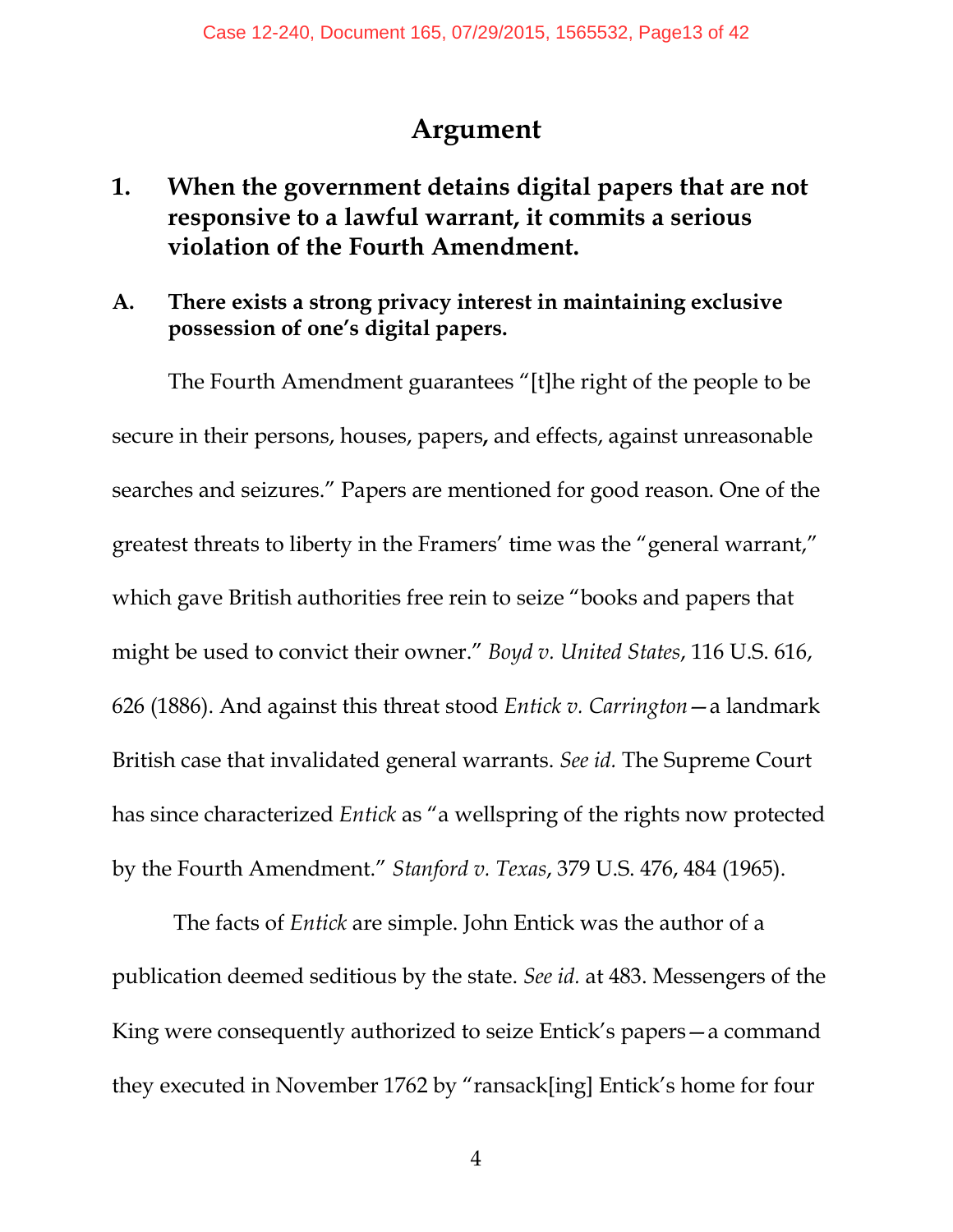## **Argument**

- **1. When the government detains digital papers that are not responsive to a lawful warrant, it commits a serious violation of the Fourth Amendment.**
- **A. There exists a strong privacy interest in maintaining exclusive possession of one's digital papers.**

The Fourth Amendment guarantees "[t]he right of the people to be secure in their persons, houses, papers**,** and effects, against unreasonable searches and seizures." Papers are mentioned for good reason. One of the greatest threats to liberty in the Framers' time was the "general warrant," which gave British authorities free rein to seize "books and papers that might be used to convict their owner." *Boyd v. United States*, 116 U.S. 616, 626 (1886). And against this threat stood *Entick v. Carrington*—a landmark British case that invalidated general warrants. *See id.* The Supreme Court has since characterized *Entick* as "a wellspring of the rights now protected by the Fourth Amendment." *Stanford v. Texas*, 379 U.S. 476, 484 (1965).

 The facts of *Entick* are simple. John Entick was the author of a publication deemed seditious by the state. *See id.* at 483. Messengers of the King were consequently authorized to seize Entick's papers—a command they executed in November 1762 by "ransack[ing] Entick's home for four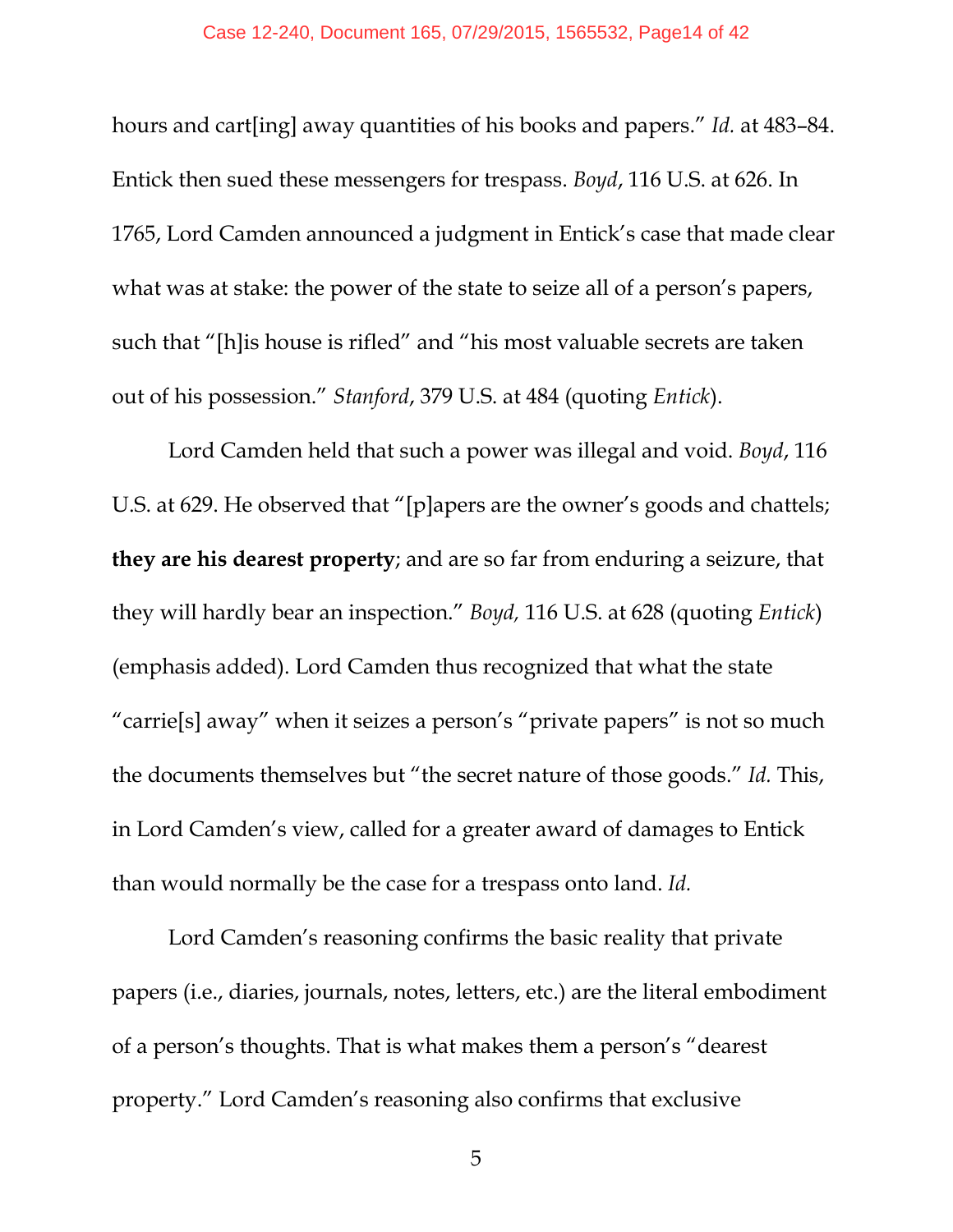hours and cart[ing] away quantities of his books and papers." *Id.* at 483–84. Entick then sued these messengers for trespass. *Boyd*, 116 U.S. at 626. In 1765, Lord Camden announced a judgment in Entick's case that made clear what was at stake: the power of the state to seize all of a person's papers, such that "[h]is house is rifled" and "his most valuable secrets are taken out of his possession." *Stanford*, 379 U.S. at 484 (quoting *Entick*).

Lord Camden held that such a power was illegal and void. *Boyd*, 116 U.S. at 629. He observed that "[p]apers are the owner's goods and chattels; **they are his dearest property**; and are so far from enduring a seizure, that they will hardly bear an inspection." *Boyd,* 116 U.S. at 628 (quoting *Entick*) (emphasis added). Lord Camden thus recognized that what the state "carrie[s] away" when it seizes a person's "private papers" is not so much the documents themselves but "the secret nature of those goods." *Id.* This, in Lord Camden's view, called for a greater award of damages to Entick than would normally be the case for a trespass onto land. *Id.*

Lord Camden's reasoning confirms the basic reality that private papers (i.e., diaries, journals, notes, letters, etc.) are the literal embodiment of a person's thoughts. That is what makes them a person's "dearest property." Lord Camden's reasoning also confirms that exclusive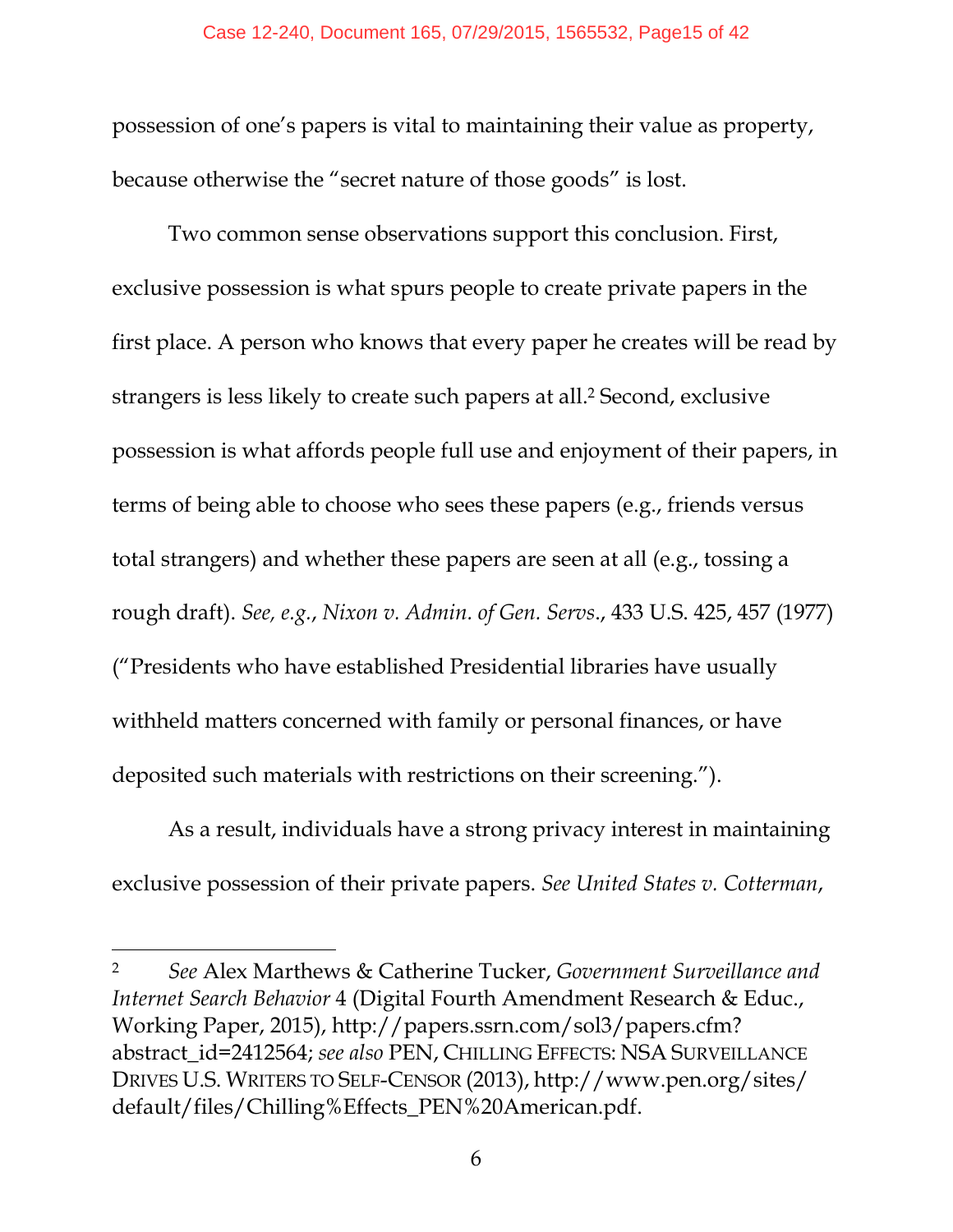possession of one's papers is vital to maintaining their value as property, because otherwise the "secret nature of those goods" is lost.

Two common sense observations support this conclusion. First, exclusive possession is what spurs people to create private papers in the first place. A person who knows that every paper he creates will be read by strangers is less likely to create such papers at all.<sup>2</sup> Second, exclusive possession is what affords people full use and enjoyment of their papers, in terms of being able to choose who sees these papers (e.g., friends versus total strangers) and whether these papers are seen at all (e.g., tossing a rough draft). *See, e.g.*, *Nixon v. Admin. of Gen. Servs*., 433 U.S. 425, 457 (1977) ("Presidents who have established Presidential libraries have usually withheld matters concerned with family or personal finances, or have deposited such materials with restrictions on their screening.").

As a result, individuals have a strong privacy interest in maintaining exclusive possession of their private papers. *See United States v. Cotterman*,

<sup>2</sup> *See* Alex Marthews & Catherine Tucker, *Government Surveillance and Internet Search Behavior* 4 (Digital Fourth Amendment Research & Educ., Working Paper, 2015), http://papers.ssrn.com/sol3/papers.cfm? abstract\_id=2412564; *see also* PEN, CHILLING EFFECTS: NSA SURVEILLANCE DRIVES U.S. WRITERS TO SELF-CENSOR (2013), http://www.pen.org/sites/ default/files/Chilling%Effects\_PEN%20American.pdf.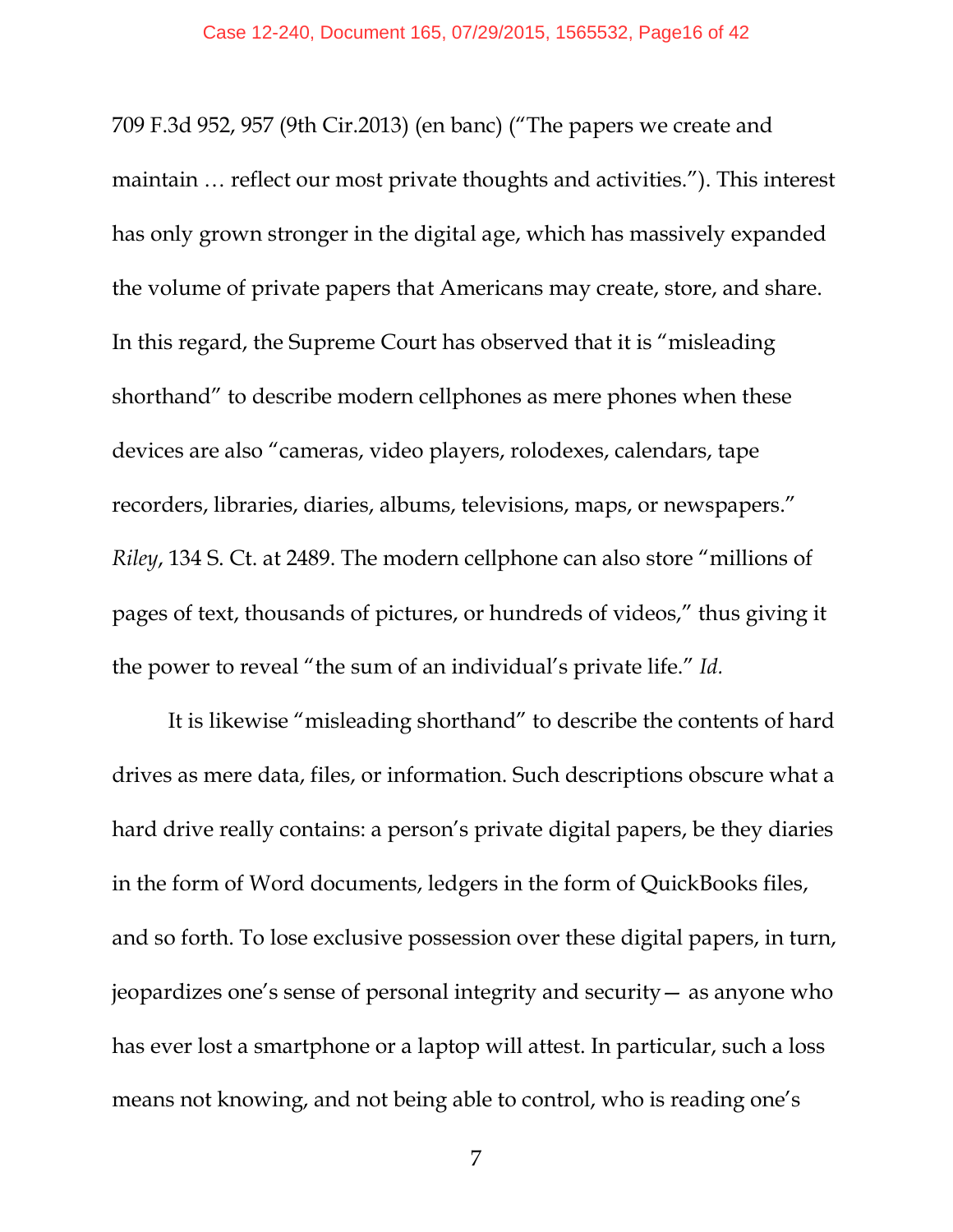709 F.3d 952, 957 (9th Cir.2013) (en banc) ("The papers we create and maintain … reflect our most private thoughts and activities."). This interest has only grown stronger in the digital age, which has massively expanded the volume of private papers that Americans may create, store, and share. In this regard, the Supreme Court has observed that it is "misleading shorthand" to describe modern cellphones as mere phones when these devices are also "cameras, video players, rolodexes, calendars, tape recorders, libraries, diaries, albums, televisions, maps, or newspapers." *Riley*, 134 S. Ct. at 2489. The modern cellphone can also store "millions of pages of text, thousands of pictures, or hundreds of videos," thus giving it the power to reveal "the sum of an individual's private life." *Id.*

It is likewise "misleading shorthand" to describe the contents of hard drives as mere data, files, or information. Such descriptions obscure what a hard drive really contains: a person's private digital papers, be they diaries in the form of Word documents, ledgers in the form of QuickBooks files, and so forth. To lose exclusive possession over these digital papers, in turn, jeopardizes one's sense of personal integrity and security— as anyone who has ever lost a smartphone or a laptop will attest. In particular, such a loss means not knowing, and not being able to control, who is reading one's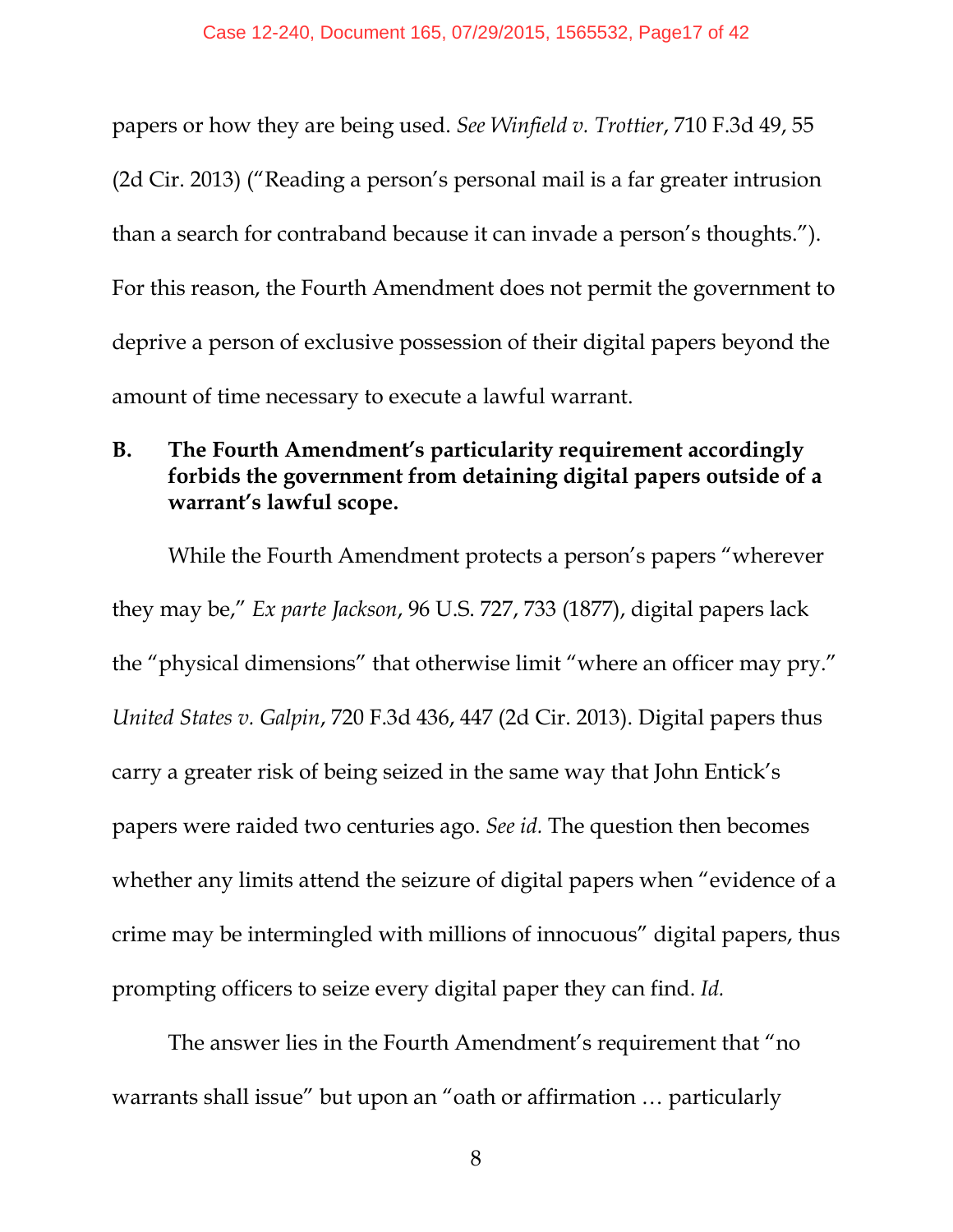papers or how they are being used. *See Winfield v. Trottier*, 710 F.3d 49, 55 (2d Cir. 2013) ("Reading a person's personal mail is a far greater intrusion than a search for contraband because it can invade a person's thoughts."). For this reason, the Fourth Amendment does not permit the government to deprive a person of exclusive possession of their digital papers beyond the amount of time necessary to execute a lawful warrant.

#### **B. The Fourth Amendment's particularity requirement accordingly forbids the government from detaining digital papers outside of a warrant's lawful scope.**

While the Fourth Amendment protects a person's papers "wherever they may be," *Ex parte Jackson*, 96 U.S. 727, 733 (1877), digital papers lack the "physical dimensions" that otherwise limit "where an officer may pry." *United States v. Galpin*, 720 F.3d 436, 447 (2d Cir. 2013). Digital papers thus carry a greater risk of being seized in the same way that John Entick's papers were raided two centuries ago. *See id.* The question then becomes whether any limits attend the seizure of digital papers when "evidence of a crime may be intermingled with millions of innocuous" digital papers, thus prompting officers to seize every digital paper they can find. *Id.* 

The answer lies in the Fourth Amendment's requirement that "no warrants shall issue" but upon an "oath or affirmation … particularly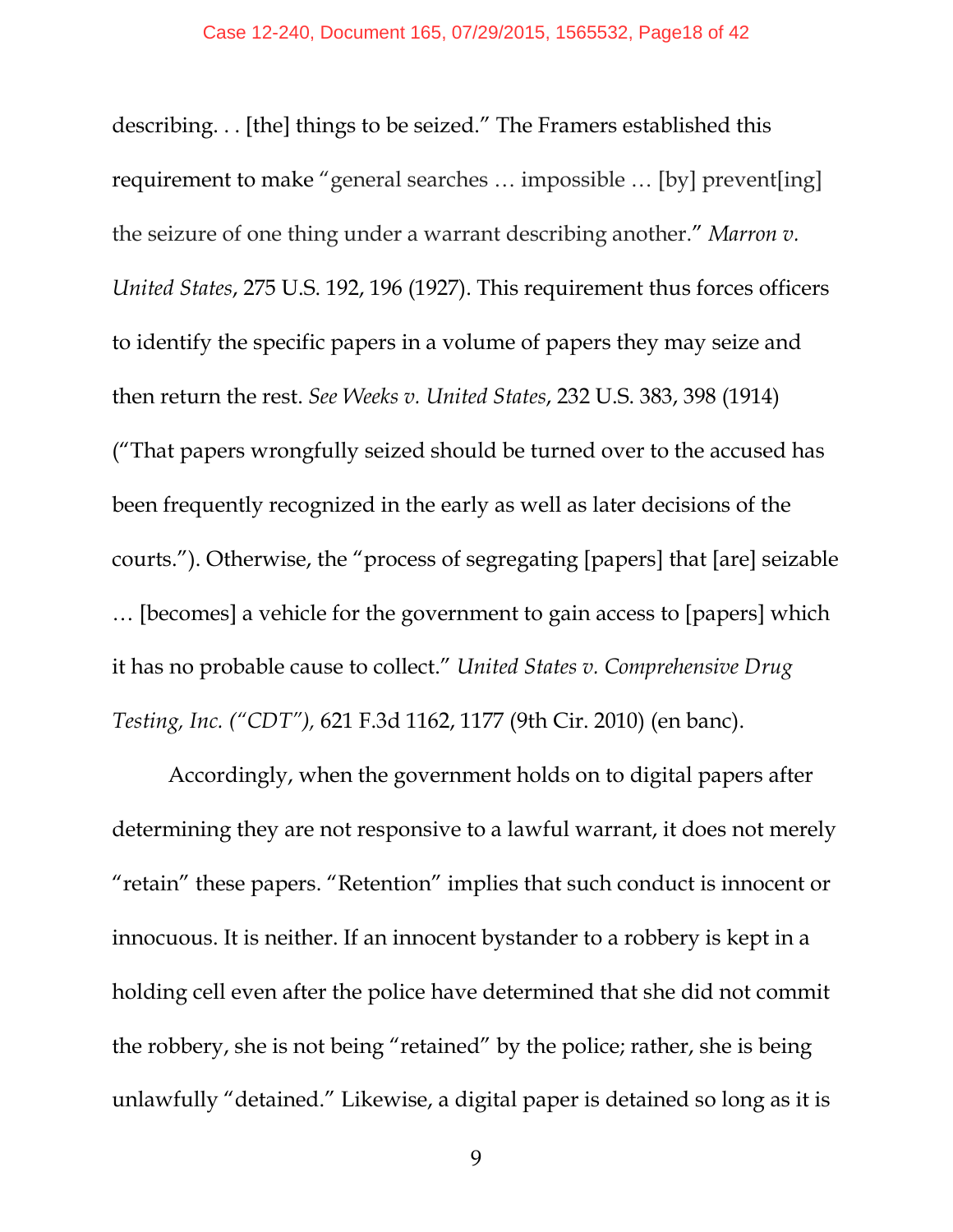describing. . . [the] things to be seized." The Framers established this requirement to make "general searches … impossible … [by] prevent[ing] the seizure of one thing under a warrant describing another." *Marron v. United States*, 275 U.S. 192, 196 (1927). This requirement thus forces officers to identify the specific papers in a volume of papers they may seize and then return the rest. *See Weeks v. United States*, 232 U.S. 383, 398 (1914) ("That papers wrongfully seized should be turned over to the accused has been frequently recognized in the early as well as later decisions of the courts."). Otherwise, the "process of segregating [papers] that [are] seizable … [becomes] a vehicle for the government to gain access to [papers] which it has no probable cause to collect." *United States v. Comprehensive Drug Testing, Inc. ("CDT"),* 621 F.3d 1162, 1177 (9th Cir. 2010) (en banc).

Accordingly, when the government holds on to digital papers after determining they are not responsive to a lawful warrant, it does not merely "retain" these papers. "Retention" implies that such conduct is innocent or innocuous. It is neither. If an innocent bystander to a robbery is kept in a holding cell even after the police have determined that she did not commit the robbery, she is not being "retained" by the police; rather, she is being unlawfully "detained." Likewise, a digital paper is detained so long as it is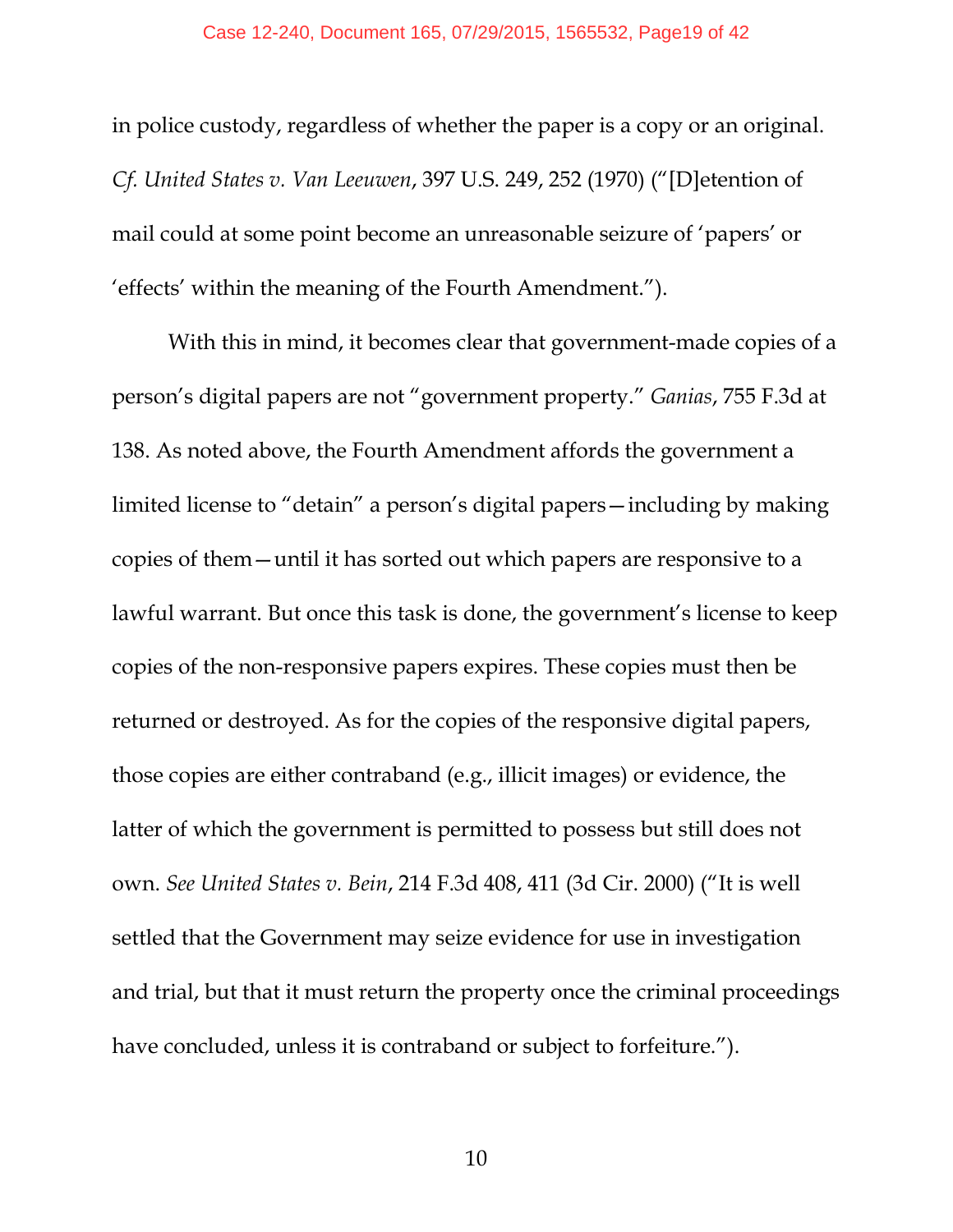in police custody, regardless of whether the paper is a copy or an original. *Cf. United States v. Van Leeuwen*, 397 U.S. 249, 252 (1970) ("[D]etention of mail could at some point become an unreasonable seizure of 'papers' or 'effects' within the meaning of the Fourth Amendment.").

With this in mind, it becomes clear that government-made copies of a person's digital papers are not "government property." *Ganias*, 755 F.3d at 138. As noted above, the Fourth Amendment affords the government a limited license to "detain" a person's digital papers—including by making copies of them—until it has sorted out which papers are responsive to a lawful warrant. But once this task is done, the government's license to keep copies of the non-responsive papers expires. These copies must then be returned or destroyed. As for the copies of the responsive digital papers, those copies are either contraband (e.g., illicit images) or evidence, the latter of which the government is permitted to possess but still does not own. *See United States v. Bein*, 214 F.3d 408, 411 (3d Cir. 2000) ("It is well settled that the Government may seize evidence for use in investigation and trial, but that it must return the property once the criminal proceedings have concluded, unless it is contraband or subject to forfeiture.").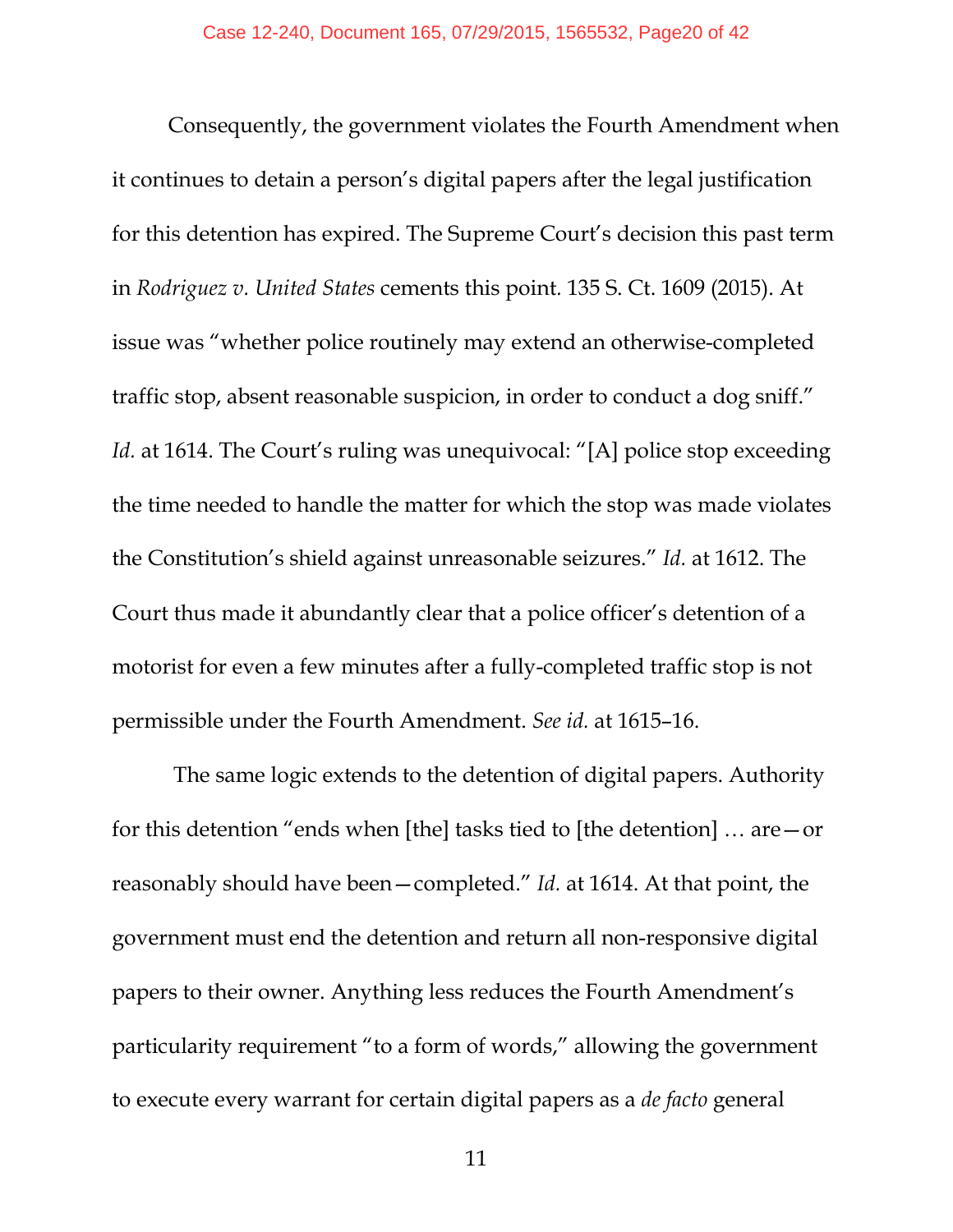Consequently, the government violates the Fourth Amendment when it continues to detain a person's digital papers after the legal justification for this detention has expired. The Supreme Court's decision this past term in *Rodriguez v. United States* cements this point*.* 135 S. Ct. 1609 (2015). At issue was "whether police routinely may extend an otherwise-completed traffic stop, absent reasonable suspicion, in order to conduct a dog sniff." *Id.* at 1614. The Court's ruling was unequivocal: "[A] police stop exceeding the time needed to handle the matter for which the stop was made violates the Constitution's shield against unreasonable seizures." *Id.* at 1612. The Court thus made it abundantly clear that a police officer's detention of a motorist for even a few minutes after a fully-completed traffic stop is not permissible under the Fourth Amendment. *See id.* at 1615–16.

 The same logic extends to the detention of digital papers. Authority for this detention "ends when [the] tasks tied to [the detention] … are—or reasonably should have been—completed." *Id.* at 1614. At that point, the government must end the detention and return all non-responsive digital papers to their owner. Anything less reduces the Fourth Amendment's particularity requirement "to a form of words," allowing the government to execute every warrant for certain digital papers as a *de facto* general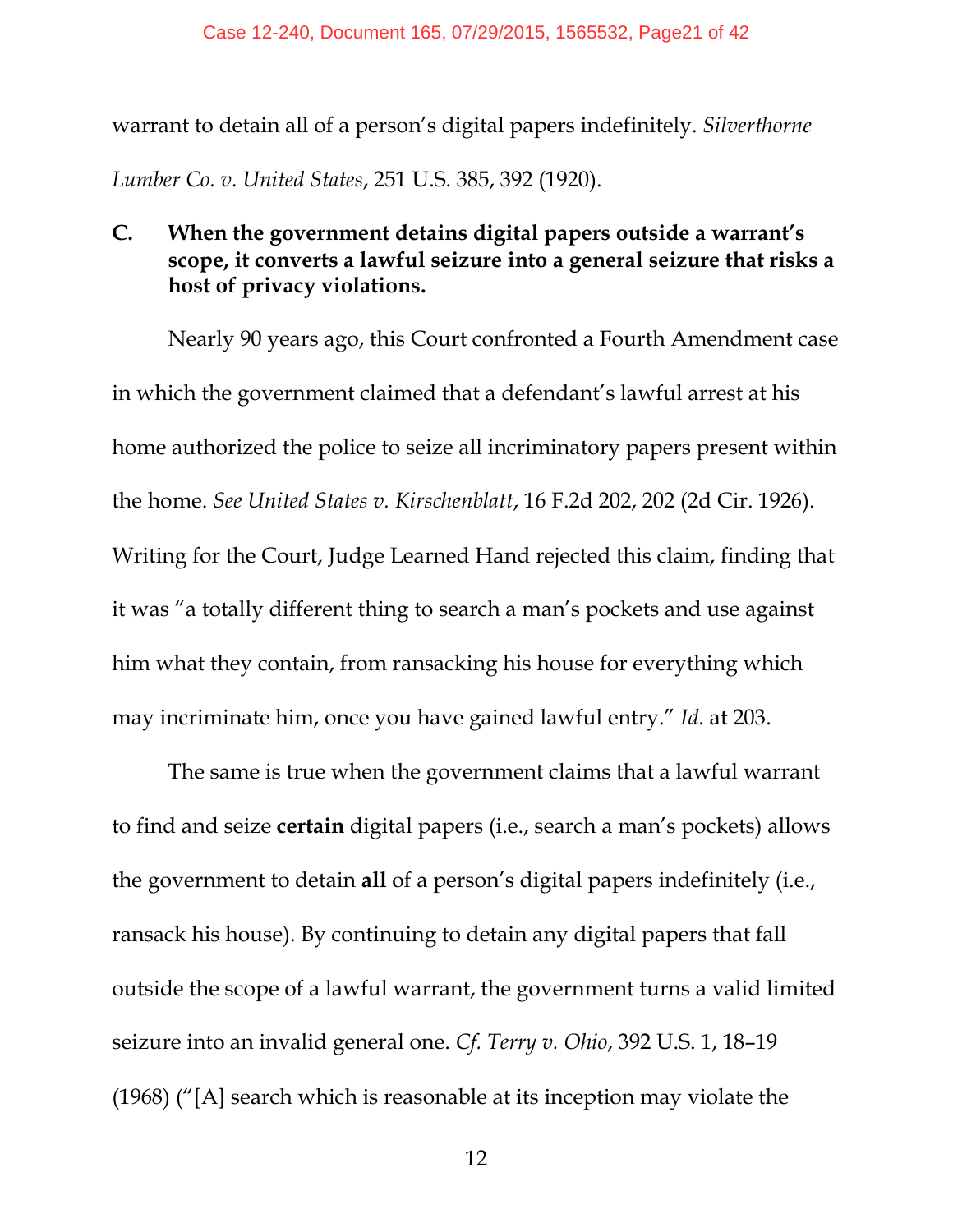warrant to detain all of a person's digital papers indefinitely. *Silverthorne Lumber Co. v. United States*, 251 U.S. 385, 392 (1920).

#### **C. When the government detains digital papers outside a warrant's scope, it converts a lawful seizure into a general seizure that risks a host of privacy violations.**

Nearly 90 years ago, this Court confronted a Fourth Amendment case in which the government claimed that a defendant's lawful arrest at his home authorized the police to seize all incriminatory papers present within the home. *See United States v. Kirschenblatt*, 16 F.2d 202, 202 (2d Cir. 1926). Writing for the Court, Judge Learned Hand rejected this claim, finding that it was "a totally different thing to search a man's pockets and use against him what they contain, from ransacking his house for everything which may incriminate him, once you have gained lawful entry." *Id.* at 203.

The same is true when the government claims that a lawful warrant to find and seize **certain** digital papers (i.e., search a man's pockets) allows the government to detain **all** of a person's digital papers indefinitely (i.e., ransack his house). By continuing to detain any digital papers that fall outside the scope of a lawful warrant, the government turns a valid limited seizure into an invalid general one. *Cf. Terry v. Ohio*, 392 U.S. 1, 18–19 (1968) ("[A] search which is reasonable at its inception may violate the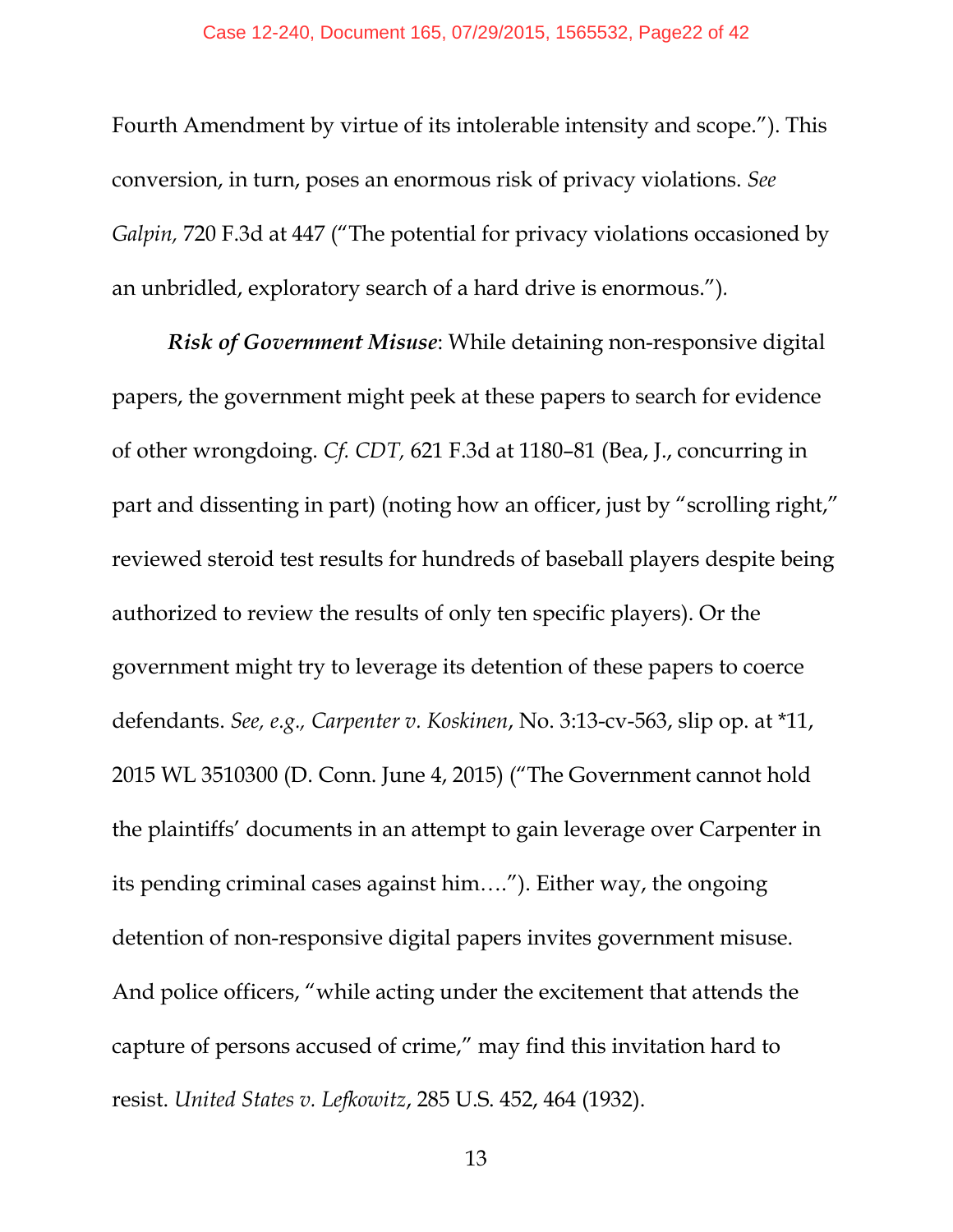Fourth Amendment by virtue of its intolerable intensity and scope."). This conversion, in turn, poses an enormous risk of privacy violations. *See Galpin,* 720 F.3d at 447 ("The potential for privacy violations occasioned by an unbridled, exploratory search of a hard drive is enormous.")*.*

*Risk of Government Misuse*: While detaining non-responsive digital papers, the government might peek at these papers to search for evidence of other wrongdoing. *Cf. CDT,* 621 F.3d at 1180–81 (Bea, J., concurring in part and dissenting in part) (noting how an officer, just by "scrolling right," reviewed steroid test results for hundreds of baseball players despite being authorized to review the results of only ten specific players). Or the government might try to leverage its detention of these papers to coerce defendants. *See, e.g., Carpenter v. Koskinen*, No. 3:13-cv-563, slip op. at \*11, 2015 WL 3510300 (D. Conn. June 4, 2015) ("The Government cannot hold the plaintiffs' documents in an attempt to gain leverage over Carpenter in its pending criminal cases against him…."). Either way, the ongoing detention of non-responsive digital papers invites government misuse. And police officers, "while acting under the excitement that attends the capture of persons accused of crime," may find this invitation hard to resist. *United States v. Lefkowitz*, 285 U.S. 452, 464 (1932).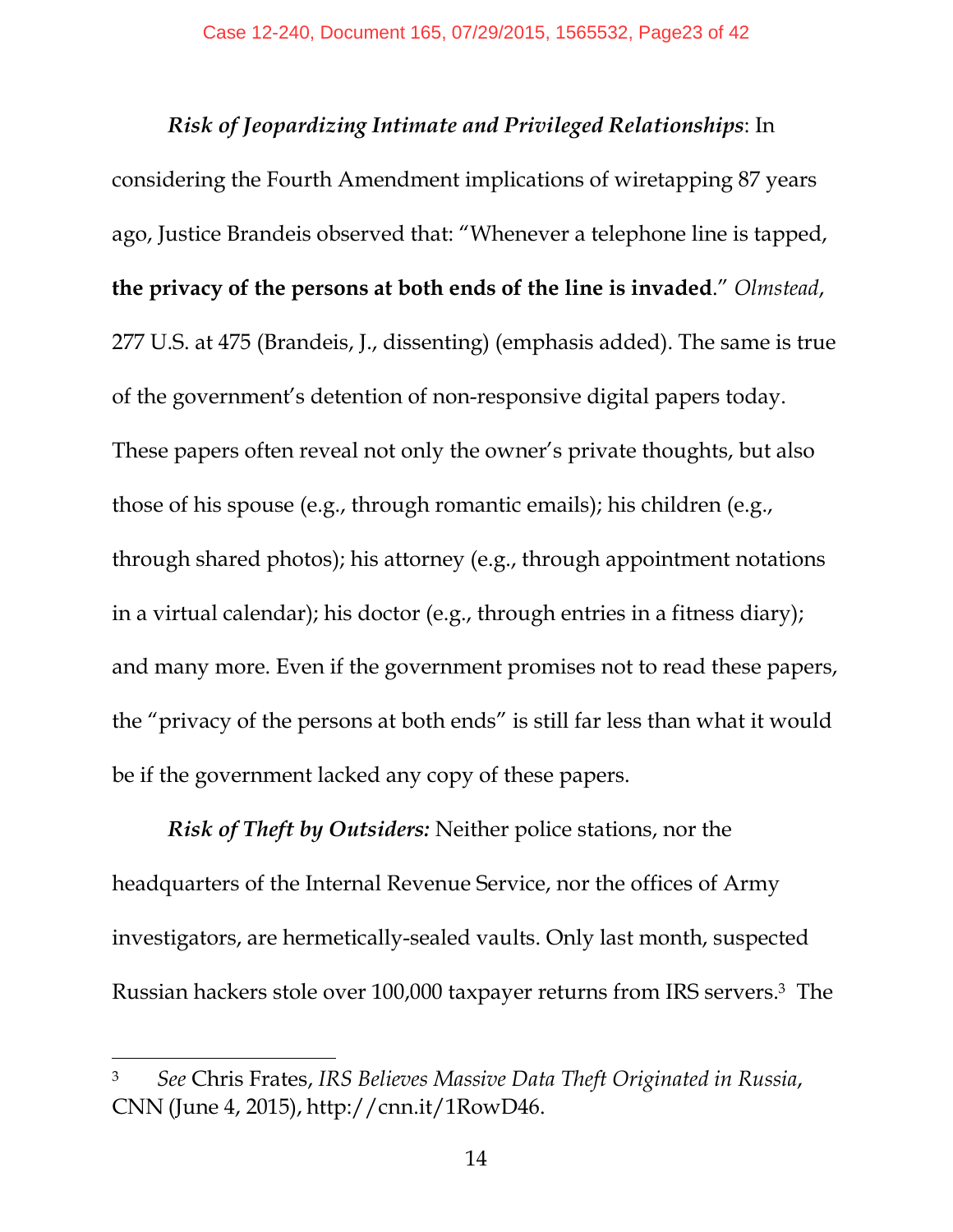*Risk of Jeopardizing Intimate and Privileged Relationships*: In considering the Fourth Amendment implications of wiretapping 87 years ago, Justice Brandeis observed that: "Whenever a telephone line is tapped, **the privacy of the persons at both ends of the line is invaded**." *Olmstead*, 277 U.S. at 475 (Brandeis, J., dissenting) (emphasis added). The same is true of the government's detention of non-responsive digital papers today. These papers often reveal not only the owner's private thoughts, but also those of his spouse (e.g., through romantic emails); his children (e.g., through shared photos); his attorney (e.g., through appointment notations in a virtual calendar); his doctor (e.g., through entries in a fitness diary); and many more. Even if the government promises not to read these papers, the "privacy of the persons at both ends" is still far less than what it would be if the government lacked any copy of these papers.

*Risk of Theft by Outsiders:* Neither police stations, nor the headquarters of the Internal Revenue Service, nor the offices of Army investigators, are hermetically-sealed vaults. Only last month, suspected Russian hackers stole over 100,000 taxpayer returns from IRS servers.<sup>3</sup> The

<sup>3</sup> *See* Chris Frates, *IRS Believes Massive Data Theft Originated in Russia*, CNN (June 4, 2015), http://cnn.it/1RowD46.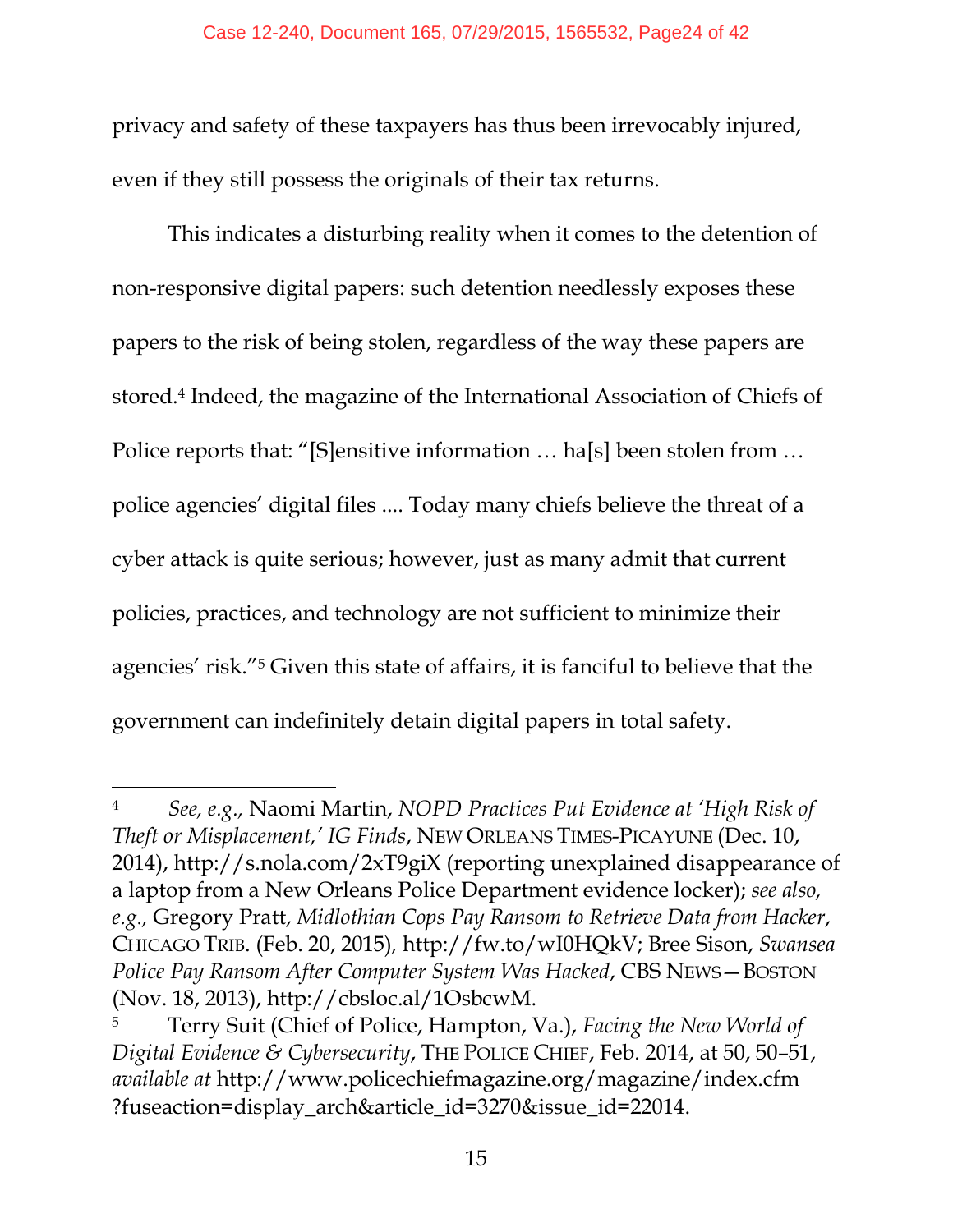privacy and safety of these taxpayers has thus been irrevocably injured, even if they still possess the originals of their tax returns.

This indicates a disturbing reality when it comes to the detention of non-responsive digital papers: such detention needlessly exposes these papers to the risk of being stolen, regardless of the way these papers are stored.<sup>4</sup> Indeed, the magazine of the International Association of Chiefs of Police reports that: "[S]ensitive information … ha[s] been stolen from … police agencies' digital files .... Today many chiefs believe the threat of a cyber attack is quite serious; however, just as many admit that current policies, practices, and technology are not sufficient to minimize their agencies' risk."<sup>5</sup> Given this state of affairs, it is fanciful to believe that the government can indefinitely detain digital papers in total safety.

<sup>4</sup> *See, e.g.,* Naomi Martin, *NOPD Practices Put Evidence at 'High Risk of Theft or Misplacement,' IG Finds*, NEW ORLEANS TIMES-PICAYUNE (Dec. 10, 2014), http://s.nola.com/2xT9giX (reporting unexplained disappearance of a laptop from a New Orleans Police Department evidence locker); *see also, e.g.,* Gregory Pratt, *Midlothian Cops Pay Ransom to Retrieve Data from Hacker*, CHICAGO TRIB. (Feb. 20, 2015)*,* http://fw.to/wI0HQkV; Bree Sison, *Swansea Police Pay Ransom After Computer System Was Hacked*, CBS NEWS—BOSTON (Nov. 18, 2013), http://cbsloc.al/1OsbcwM.

<sup>5</sup> Terry Suit (Chief of Police, Hampton, Va.), *Facing the New World of Digital Evidence & Cybersecurity*, THE POLICE CHIEF, Feb. 2014, at 50, 50–51, *available at* http://www.policechiefmagazine.org/magazine/index.cfm ?fuseaction=display\_arch&article\_id=3270&issue\_id=22014.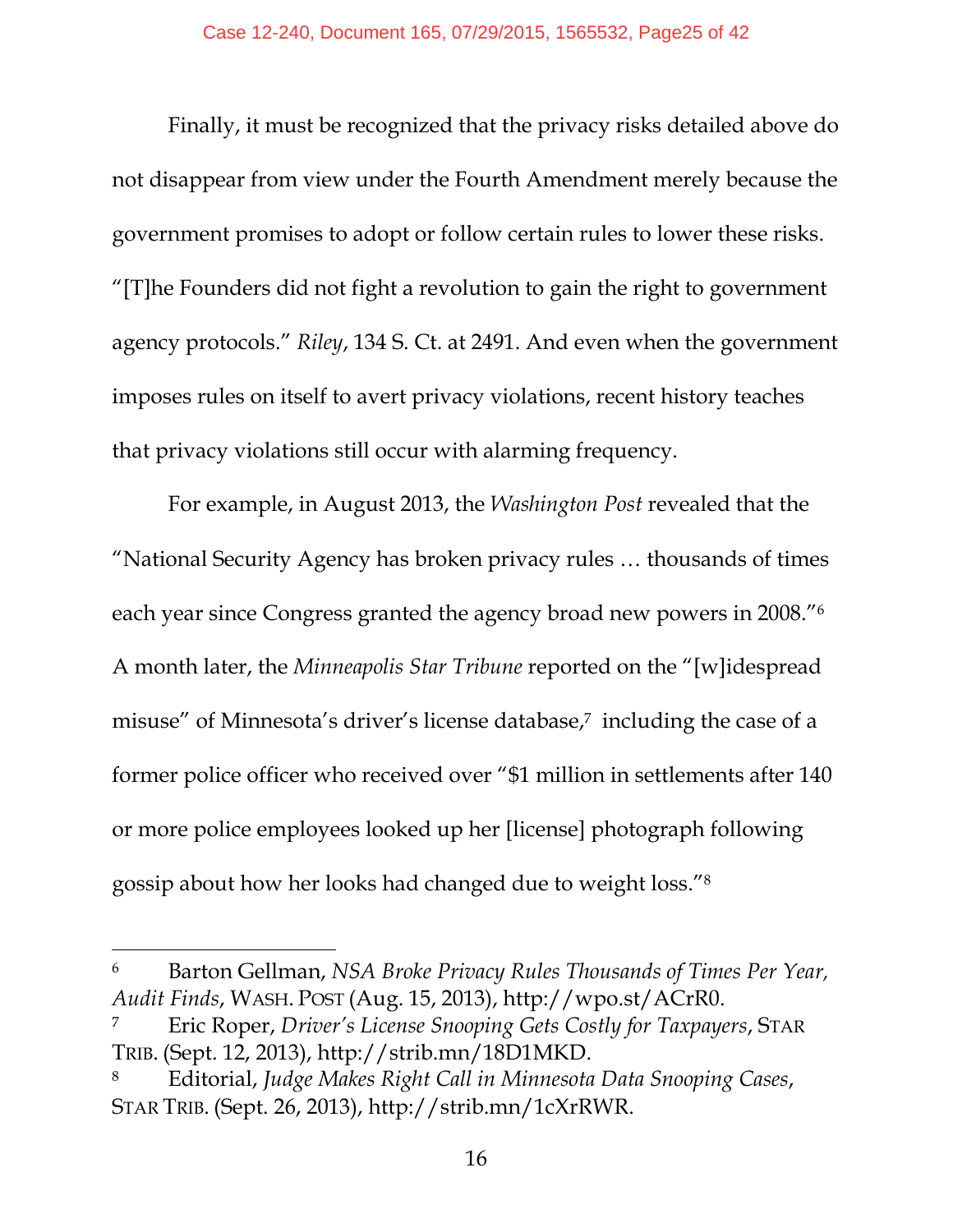Finally, it must be recognized that the privacy risks detailed above do not disappear from view under the Fourth Amendment merely because the government promises to adopt or follow certain rules to lower these risks. "[T]he Founders did not fight a revolution to gain the right to government agency protocols." *Riley*, 134 S. Ct. at 2491. And even when the government imposes rules on itself to avert privacy violations, recent history teaches that privacy violations still occur with alarming frequency.

For example, in August 2013, the *Washington Post* revealed that the "National Security Agency has broken privacy rules … thousands of times each year since Congress granted the agency broad new powers in 2008."<sup>6</sup> A month later, the *Minneapolis Star Tribune* reported on the "[w]idespread misuse" of Minnesota's driver's license database,<sup>7</sup> including the case of a former police officer who received over "\$1 million in settlements after 140 or more police employees looked up her [license] photograph following gossip about how her looks had changed due to weight loss."<sup>8</sup>

<sup>6</sup> Barton Gellman, *NSA Broke Privacy Rules Thousands of Times Per Year, Audit Finds*, WASH. POST (Aug. 15, 2013), http://wpo.st/ACrR0.

<sup>7</sup> Eric Roper, *Driver's License Snooping Gets Costly for Taxpayers*, STAR TRIB. (Sept. 12, 2013), http://strib.mn/18D1MKD.

<sup>8</sup> Editorial, *Judge Makes Right Call in Minnesota Data Snooping Cases*, STAR TRIB. (Sept. 26, 2013), http://strib.mn/1cXrRWR.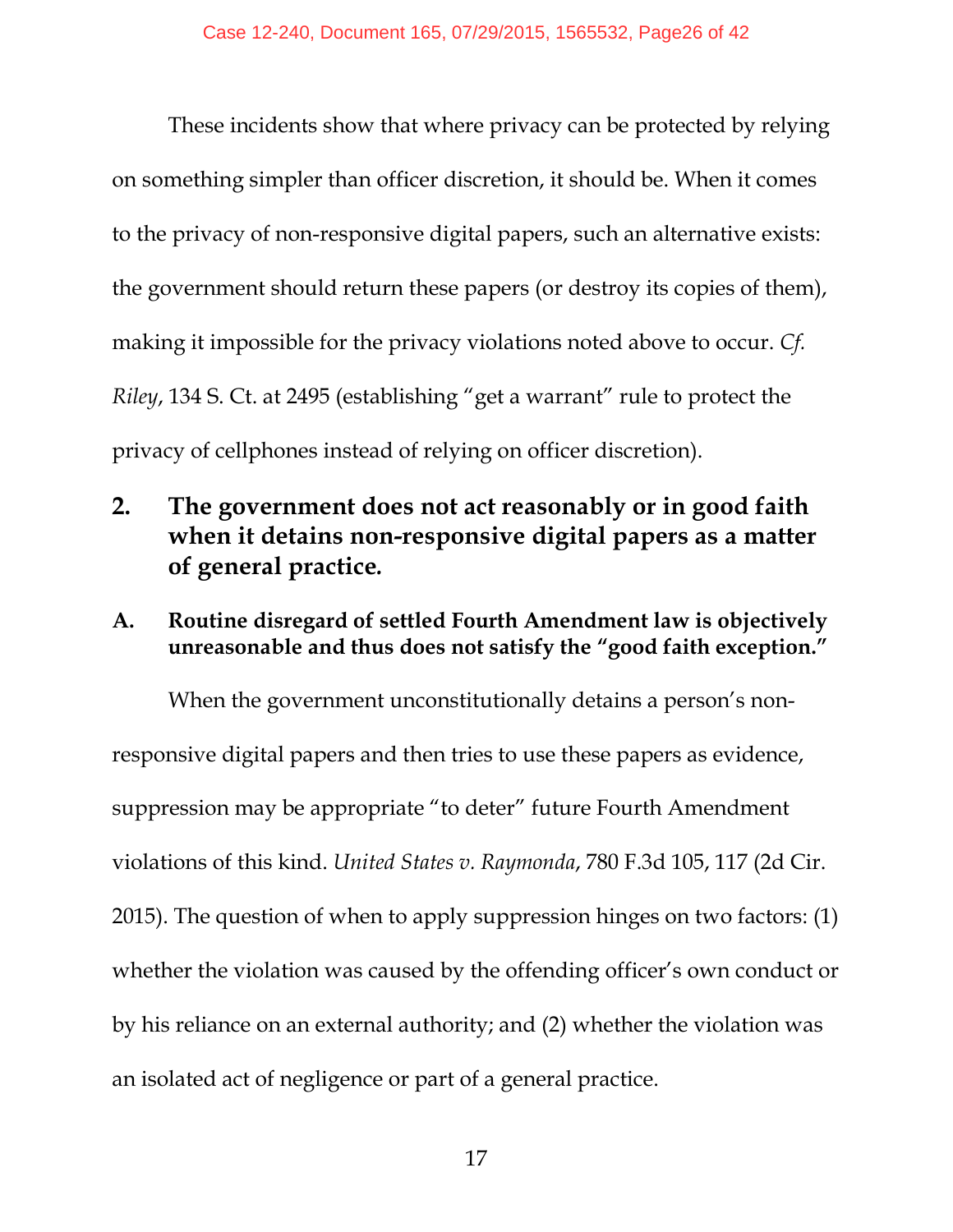These incidents show that where privacy can be protected by relying on something simpler than officer discretion, it should be. When it comes to the privacy of non-responsive digital papers, such an alternative exists: the government should return these papers (or destroy its copies of them), making it impossible for the privacy violations noted above to occur. *Cf. Riley*, 134 S. Ct. at 2495 (establishing "get a warrant" rule to protect the privacy of cellphones instead of relying on officer discretion).

- **2. The government does not act reasonably or in good faith when it detains non-responsive digital papers as a matter of general practice***.*
- **A. Routine disregard of settled Fourth Amendment law is objectively unreasonable and thus does not satisfy the "good faith exception."**

When the government unconstitutionally detains a person's nonresponsive digital papers and then tries to use these papers as evidence, suppression may be appropriate "to deter" future Fourth Amendment violations of this kind. *United States v. Raymonda*, 780 F.3d 105, 117 (2d Cir. 2015). The question of when to apply suppression hinges on two factors: (1) whether the violation was caused by the offending officer's own conduct or by his reliance on an external authority; and (2) whether the violation was an isolated act of negligence or part of a general practice.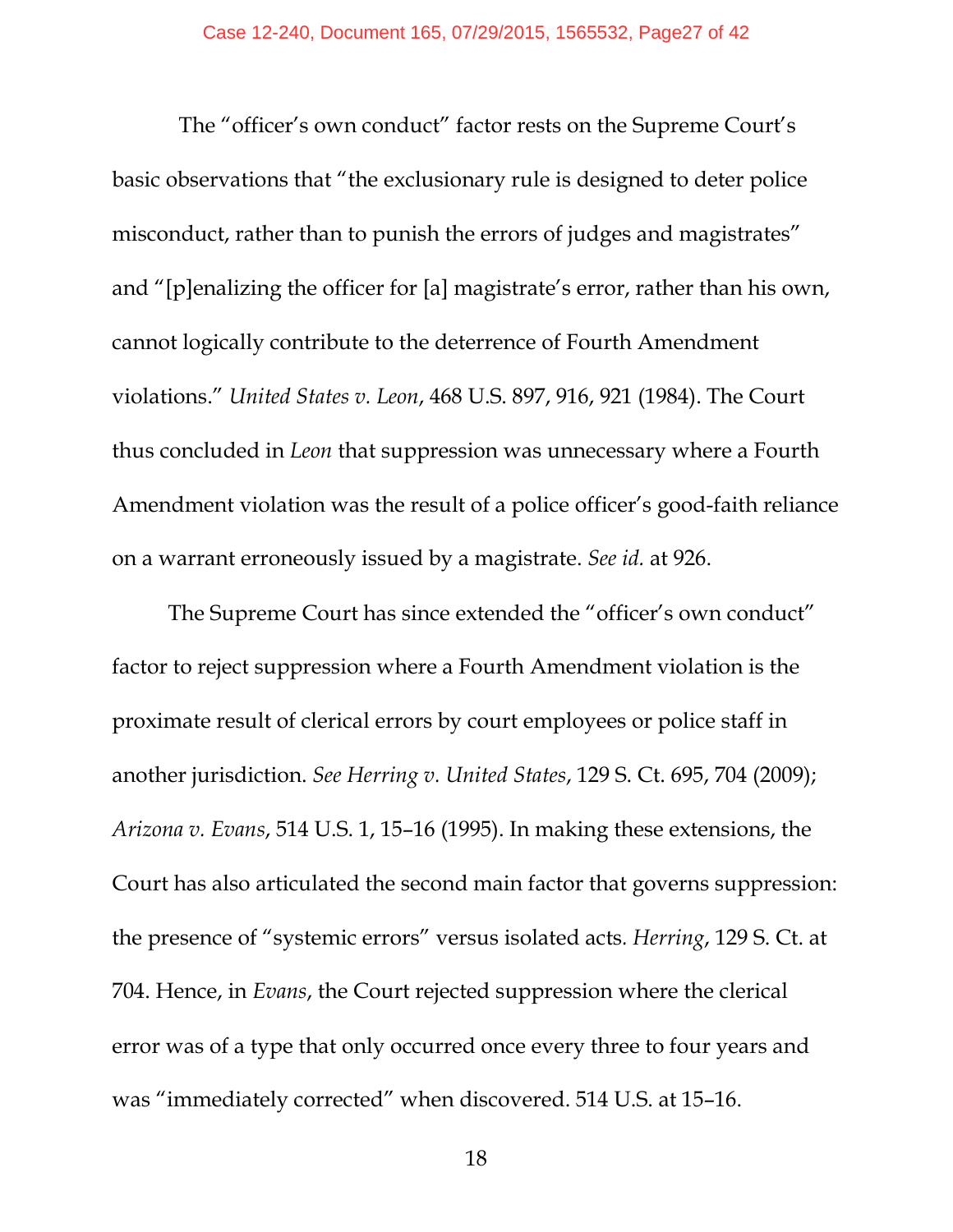The "officer's own conduct" factor rests on the Supreme Court's basic observations that "the exclusionary rule is designed to deter police misconduct, rather than to punish the errors of judges and magistrates" and "[p]enalizing the officer for [a] magistrate's error, rather than his own, cannot logically contribute to the deterrence of Fourth Amendment violations." *United States v. Leon*, 468 U.S. 897, 916, 921 (1984). The Court thus concluded in *Leon* that suppression was unnecessary where a Fourth Amendment violation was the result of a police officer's good-faith reliance on a warrant erroneously issued by a magistrate. *See id.* at 926.

The Supreme Court has since extended the "officer's own conduct" factor to reject suppression where a Fourth Amendment violation is the proximate result of clerical errors by court employees or police staff in another jurisdiction. *See Herring v. United States*, 129 S. Ct. 695, 704 (2009); *Arizona v. Evans*, 514 U.S. 1, 15–16 (1995). In making these extensions, the Court has also articulated the second main factor that governs suppression: the presence of "systemic errors" versus isolated acts*. Herring*, 129 S. Ct. at 704. Hence, in *Evans*, the Court rejected suppression where the clerical error was of a type that only occurred once every three to four years and was "immediately corrected" when discovered. 514 U.S. at 15–16.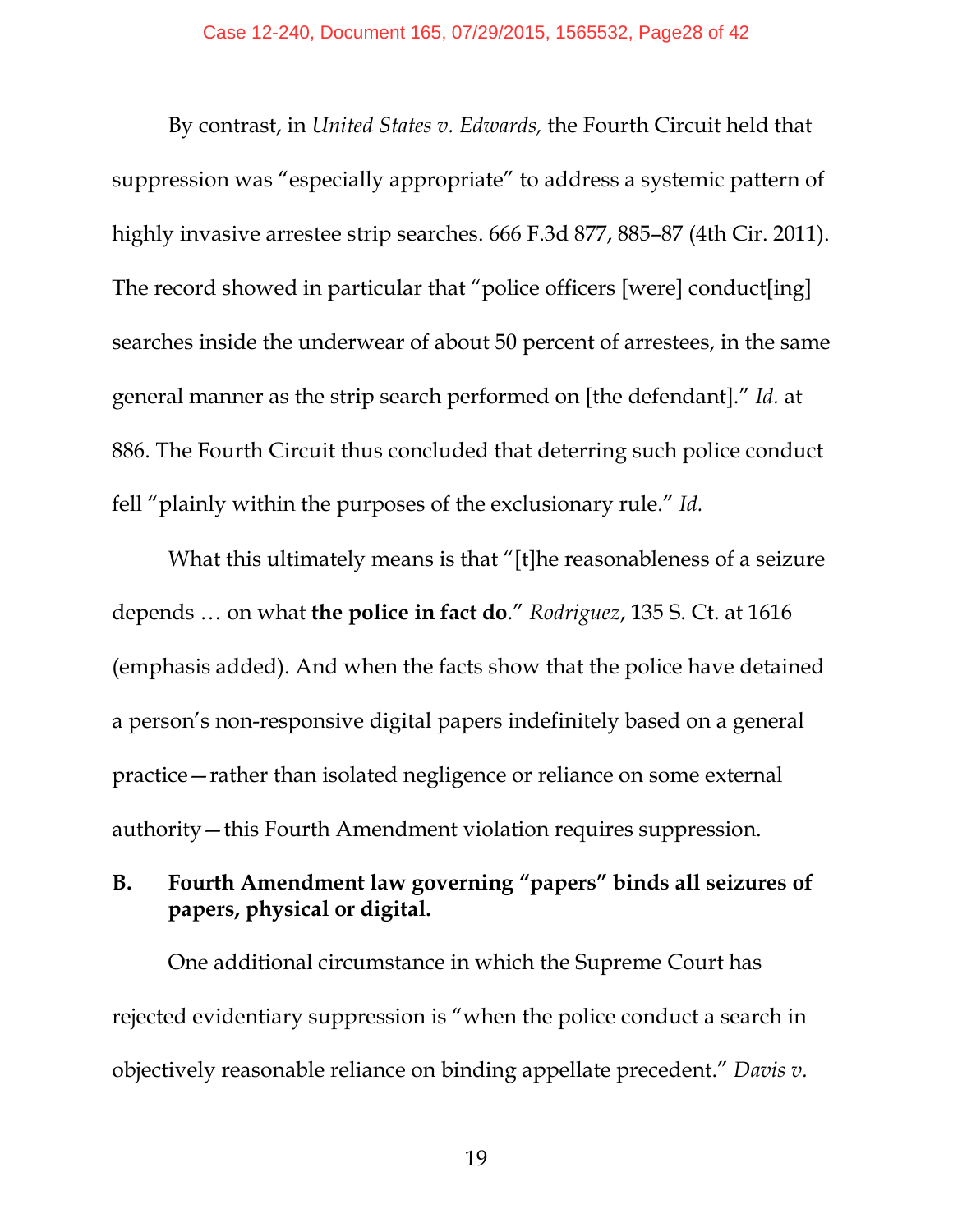By contrast, in *United States v. Edwards,* the Fourth Circuit held that suppression was "especially appropriate" to address a systemic pattern of highly invasive arrestee strip searches. 666 F.3d 877, 885–87 (4th Cir. 2011). The record showed in particular that "police officers [were] conduct[ing] searches inside the underwear of about 50 percent of arrestees, in the same general manner as the strip search performed on [the defendant]." *Id.* at 886. The Fourth Circuit thus concluded that deterring such police conduct fell "plainly within the purposes of the exclusionary rule." *Id.* 

What this ultimately means is that "[t]he reasonableness of a seizure depends … on what **the police in fact do**." *Rodriguez*, 135 S. Ct. at 1616 (emphasis added). And when the facts show that the police have detained a person's non-responsive digital papers indefinitely based on a general practice—rather than isolated negligence or reliance on some external authority—this Fourth Amendment violation requires suppression.

#### **B. Fourth Amendment law governing "papers" binds all seizures of papers, physical or digital.**

One additional circumstance in which the Supreme Court has rejected evidentiary suppression is "when the police conduct a search in objectively reasonable reliance on binding appellate precedent." *Davis v.* 

19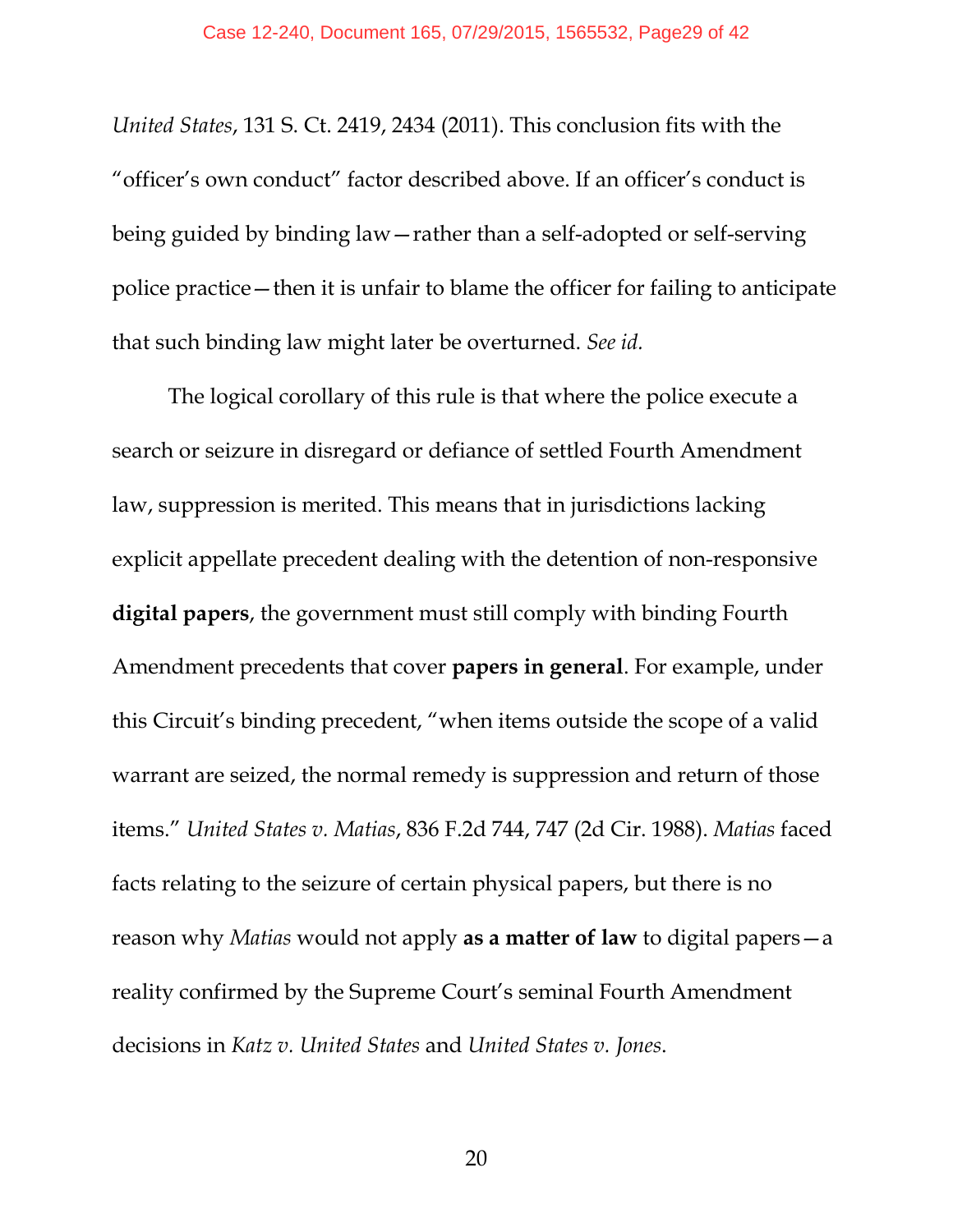*United States*, 131 S. Ct. 2419, 2434 (2011). This conclusion fits with the "officer's own conduct" factor described above. If an officer's conduct is being guided by binding law—rather than a self-adopted or self-serving police practice—then it is unfair to blame the officer for failing to anticipate that such binding law might later be overturned. *See id.*

The logical corollary of this rule is that where the police execute a search or seizure in disregard or defiance of settled Fourth Amendment law, suppression is merited. This means that in jurisdictions lacking explicit appellate precedent dealing with the detention of non-responsive **digital papers**, the government must still comply with binding Fourth Amendment precedents that cover **papers in general**. For example, under this Circuit's binding precedent, "when items outside the scope of a valid warrant are seized, the normal remedy is suppression and return of those items." *United States v. Matias*, 836 F.2d 744, 747 (2d Cir. 1988). *Matias* faced facts relating to the seizure of certain physical papers, but there is no reason why *Matias* would not apply **as a matter of law** to digital papers—a reality confirmed by the Supreme Court's seminal Fourth Amendment decisions in *Katz v. United States* and *United States v. Jones*.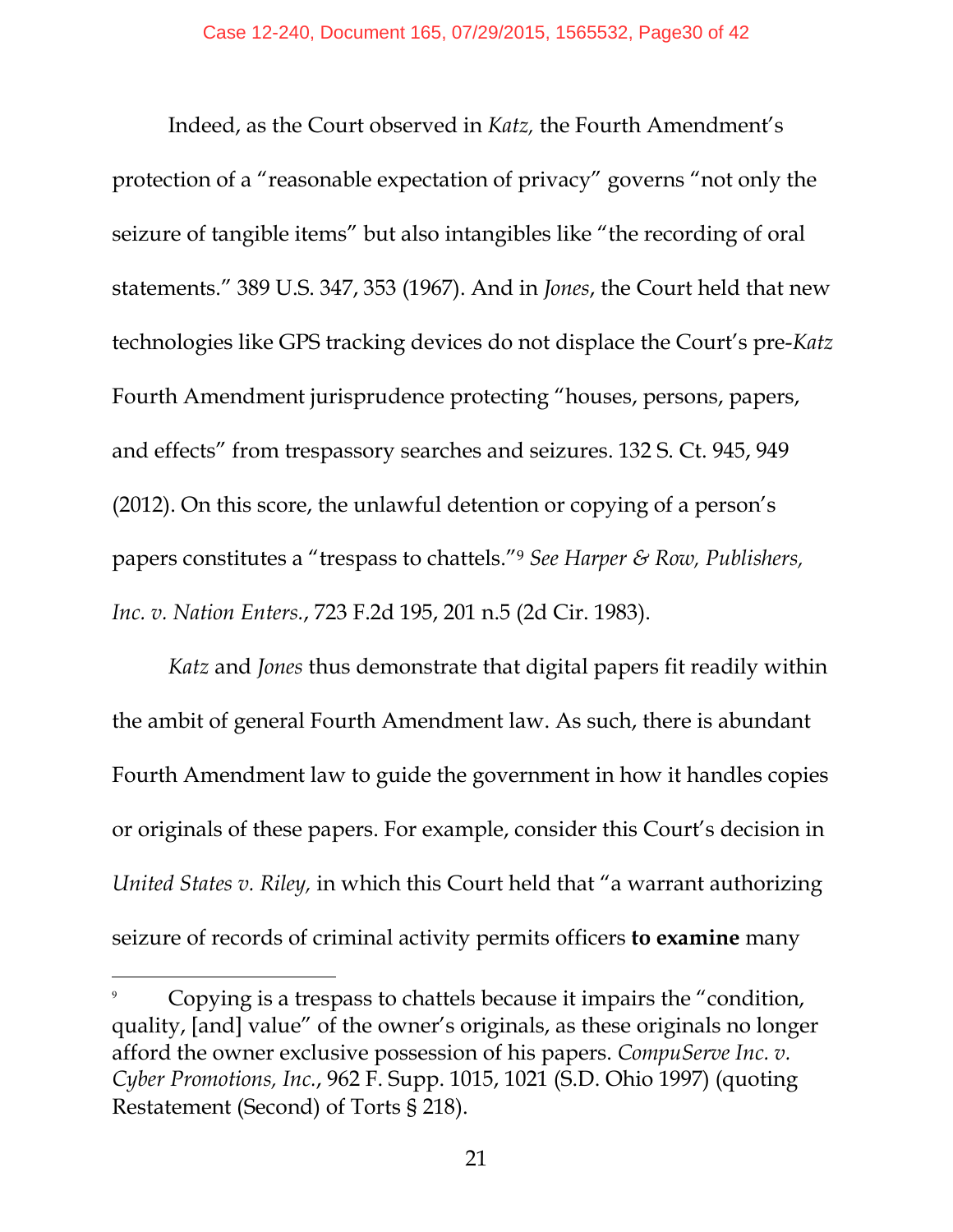Indeed, as the Court observed in *Katz,* the Fourth Amendment's protection of a "reasonable expectation of privacy" governs "not only the seizure of tangible items" but also intangibles like "the recording of oral statements." 389 U.S. 347, 353 (1967). And in *Jones*, the Court held that new technologies like GPS tracking devices do not displace the Court's pre-*Katz* Fourth Amendment jurisprudence protecting "houses, persons, papers, and effects" from trespassory searches and seizures. 132 S. Ct. 945, 949 (2012). On this score, the unlawful detention or copying of a person's papers constitutes a "trespass to chattels."<sup>9</sup> *See Harper & Row, Publishers, Inc. v. Nation Enters.*, 723 F.2d 195, 201 n.5 (2d Cir. 1983).

*Katz* and *Jones* thus demonstrate that digital papers fit readily within the ambit of general Fourth Amendment law. As such, there is abundant Fourth Amendment law to guide the government in how it handles copies or originals of these papers. For example, consider this Court's decision in *United States v. Riley,* in which this Court held that "a warrant authorizing seizure of records of criminal activity permits officers **to examine** many

 $\overline{9}$  Copying is a trespass to chattels because it impairs the "condition, quality, [and] value" of the owner's originals, as these originals no longer afford the owner exclusive possession of his papers. *CompuServe Inc. v. Cyber Promotions, Inc.*, 962 F. Supp. 1015, 1021 (S.D. Ohio 1997) (quoting Restatement (Second) of Torts § 218).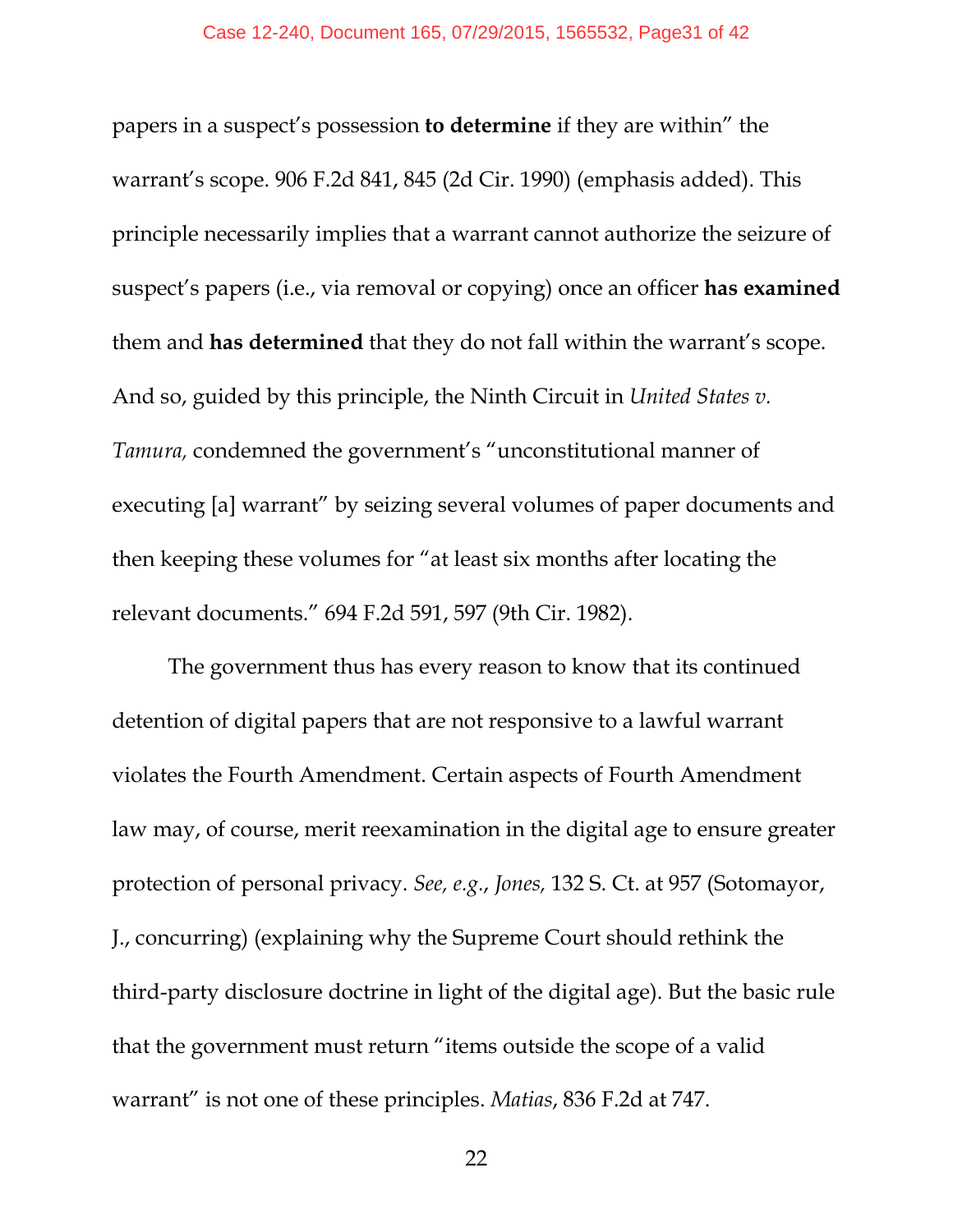papers in a suspect's possession **to determine** if they are within" the warrant's scope. 906 F.2d 841, 845 (2d Cir. 1990) (emphasis added). This principle necessarily implies that a warrant cannot authorize the seizure of suspect's papers (i.e., via removal or copying) once an officer **has examined** them and **has determined** that they do not fall within the warrant's scope. And so, guided by this principle, the Ninth Circuit in *United States v. Tamura,* condemned the government's "unconstitutional manner of executing [a] warrant" by seizing several volumes of paper documents and then keeping these volumes for "at least six months after locating the relevant documents." 694 F.2d 591, 597 (9th Cir. 1982).

The government thus has every reason to know that its continued detention of digital papers that are not responsive to a lawful warrant violates the Fourth Amendment. Certain aspects of Fourth Amendment law may, of course, merit reexamination in the digital age to ensure greater protection of personal privacy. *See, e.g.*, *Jones,* 132 S. Ct. at 957 (Sotomayor, J., concurring) (explaining why the Supreme Court should rethink the third-party disclosure doctrine in light of the digital age). But the basic rule that the government must return "items outside the scope of a valid warrant" is not one of these principles. *Matias*, 836 F.2d at 747.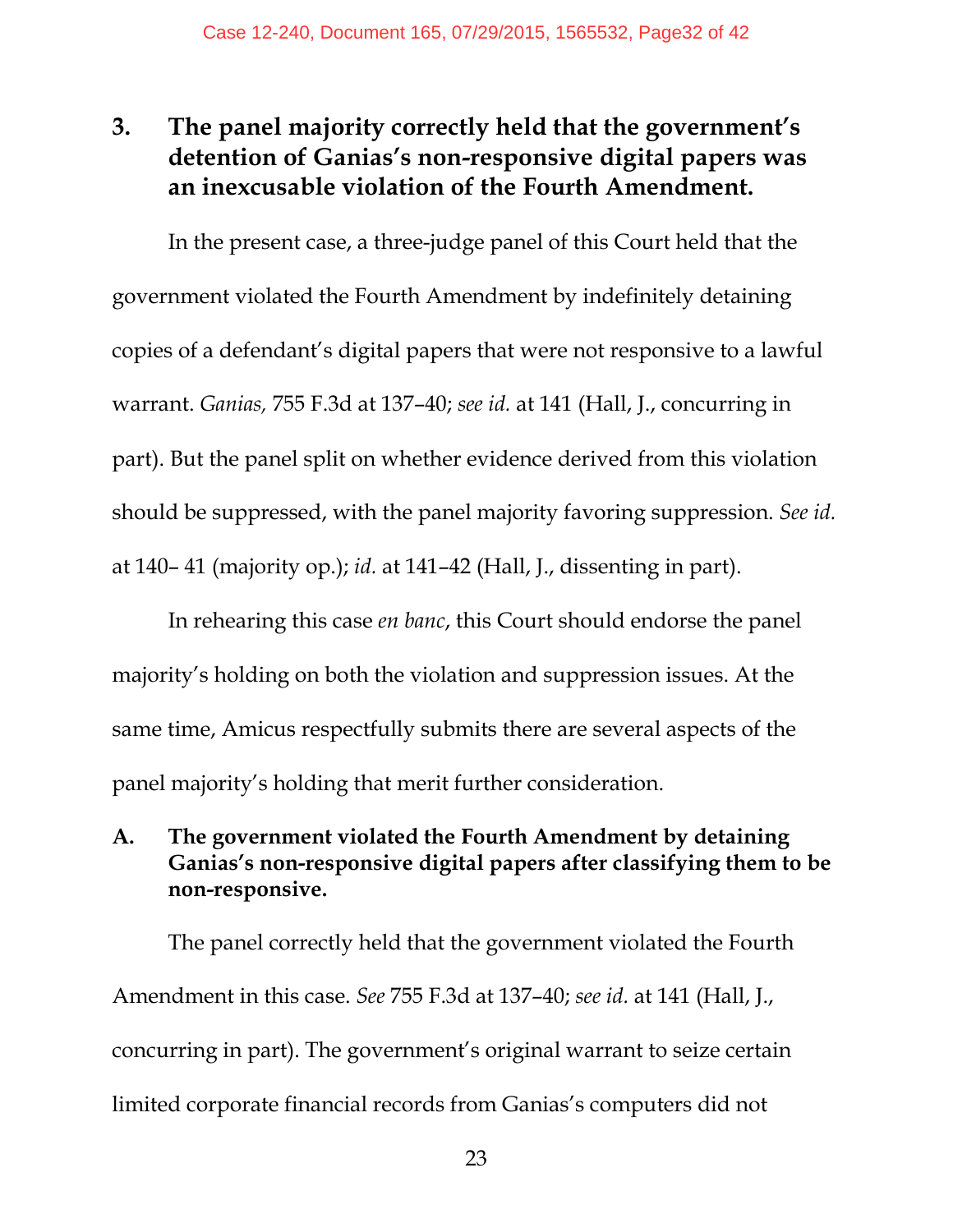## **3. The panel majority correctly held that the government's detention of Ganias's non-responsive digital papers was an inexcusable violation of the Fourth Amendment.**

In the present case, a three-judge panel of this Court held that the government violated the Fourth Amendment by indefinitely detaining copies of a defendant's digital papers that were not responsive to a lawful warrant. *Ganias,* 755 F.3d at 137–40; *see id.* at 141 (Hall, J., concurring in part). But the panel split on whether evidence derived from this violation should be suppressed, with the panel majority favoring suppression. *See id.*  at 140– 41 (majority op.); *id.* at 141–42 (Hall, J., dissenting in part).

In rehearing this case *en banc*, this Court should endorse the panel majority's holding on both the violation and suppression issues. At the same time, Amicus respectfully submits there are several aspects of the panel majority's holding that merit further consideration.

#### **A. The government violated the Fourth Amendment by detaining Ganias's non-responsive digital papers after classifying them to be non-responsive.**

The panel correctly held that the government violated the Fourth Amendment in this case. *See* 755 F.3d at 137–40; *see id.* at 141 (Hall, J., concurring in part). The government's original warrant to seize certain limited corporate financial records from Ganias's computers did not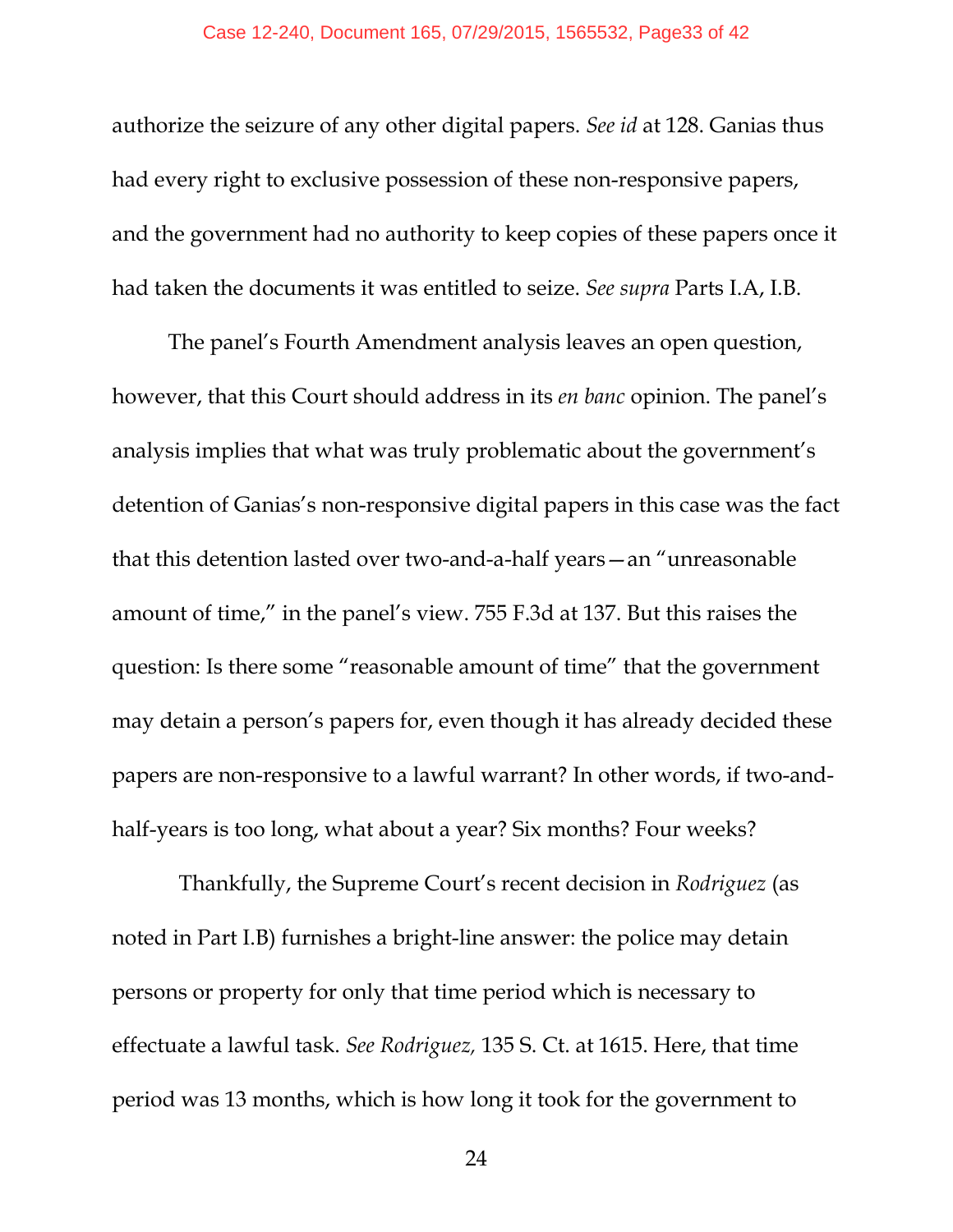authorize the seizure of any other digital papers. *See id* at 128. Ganias thus had every right to exclusive possession of these non-responsive papers, and the government had no authority to keep copies of these papers once it had taken the documents it was entitled to seize. *See supra* Parts I.A, I.B.

The panel's Fourth Amendment analysis leaves an open question, however, that this Court should address in its *en banc* opinion. The panel's analysis implies that what was truly problematic about the government's detention of Ganias's non-responsive digital papers in this case was the fact that this detention lasted over two-and-a-half years—an "unreasonable amount of time," in the panel's view. 755 F.3d at 137. But this raises the question: Is there some "reasonable amount of time" that the government may detain a person's papers for, even though it has already decided these papers are non-responsive to a lawful warrant? In other words, if two-andhalf-years is too long, what about a year? Six months? Four weeks?

 Thankfully, the Supreme Court's recent decision in *Rodriguez* (as noted in Part I.B) furnishes a bright-line answer: the police may detain persons or property for only that time period which is necessary to effectuate a lawful task. *See Rodriguez,* 135 S. Ct. at 1615. Here, that time period was 13 months, which is how long it took for the government to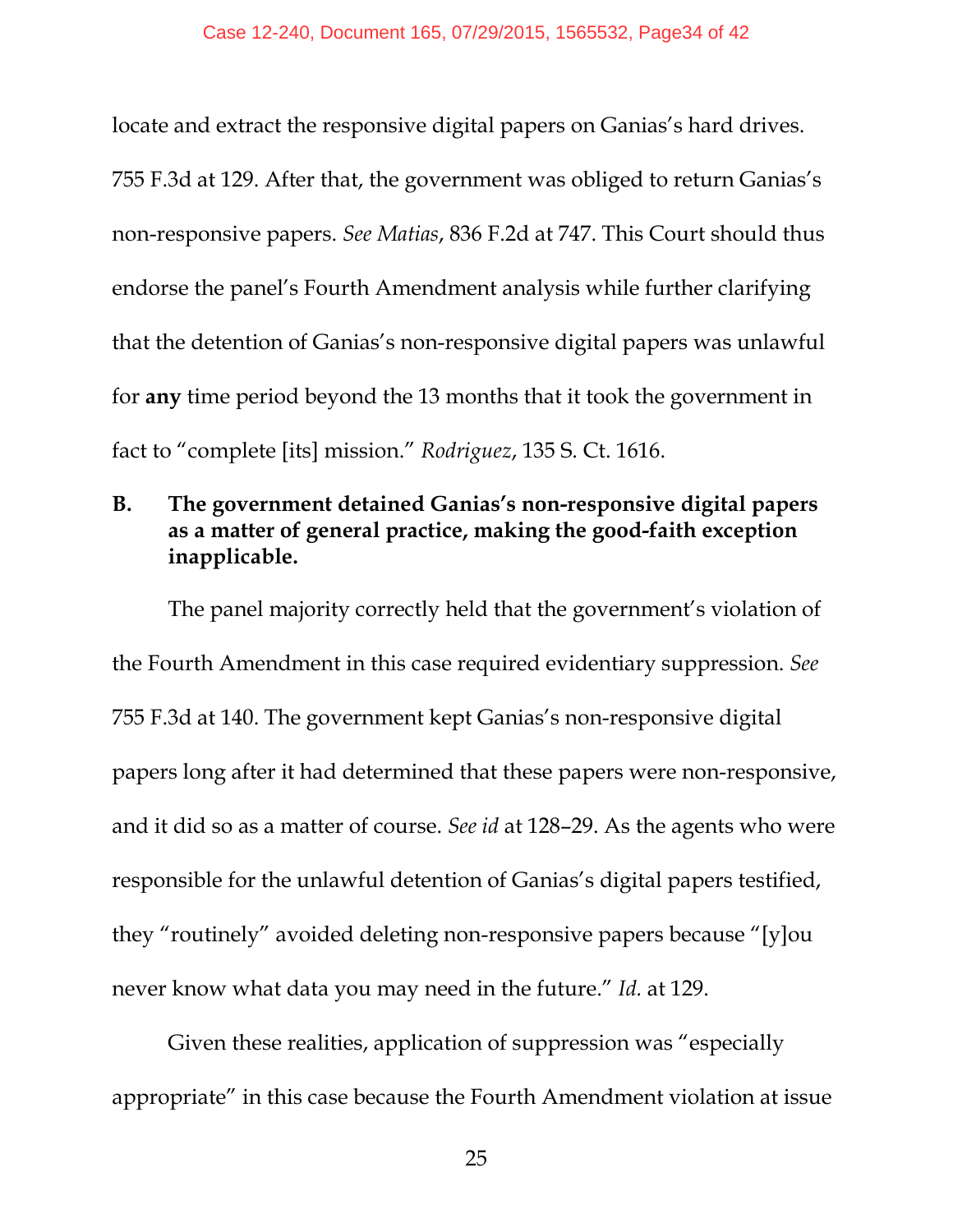locate and extract the responsive digital papers on Ganias's hard drives. 755 F.3d at 129. After that, the government was obliged to return Ganias's non-responsive papers. *See Matias*, 836 F.2d at 747. This Court should thus endorse the panel's Fourth Amendment analysis while further clarifying that the detention of Ganias's non-responsive digital papers was unlawful for **any** time period beyond the 13 months that it took the government in fact to "complete [its] mission." *Rodriguez*, 135 S. Ct. 1616.

#### **B. The government detained Ganias's non-responsive digital papers as a matter of general practice, making the good-faith exception inapplicable.**

The panel majority correctly held that the government's violation of the Fourth Amendment in this case required evidentiary suppression. *See*  755 F.3d at 140. The government kept Ganias's non-responsive digital papers long after it had determined that these papers were non-responsive, and it did so as a matter of course. *See id* at 128–29. As the agents who were responsible for the unlawful detention of Ganias's digital papers testified, they "routinely" avoided deleting non-responsive papers because "[y]ou never know what data you may need in the future." *Id.* at 129.

Given these realities, application of suppression was "especially appropriate" in this case because the Fourth Amendment violation at issue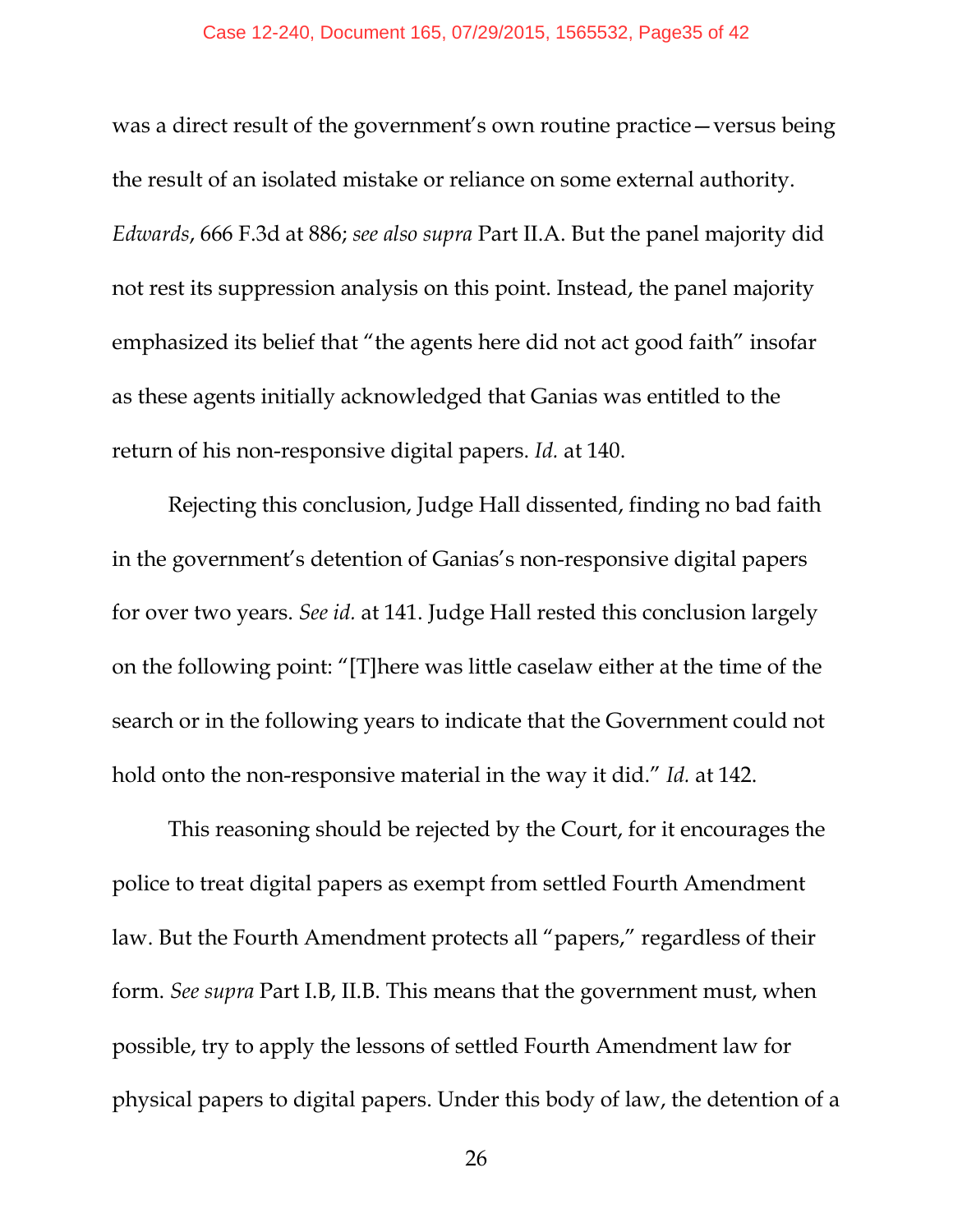was a direct result of the government's own routine practice—versus being the result of an isolated mistake or reliance on some external authority. *Edwards*, 666 F.3d at 886; *see also supra* Part II.A. But the panel majority did not rest its suppression analysis on this point. Instead, the panel majority emphasized its belief that "the agents here did not act good faith" insofar as these agents initially acknowledged that Ganias was entitled to the return of his non-responsive digital papers. *Id.* at 140.

Rejecting this conclusion, Judge Hall dissented, finding no bad faith in the government's detention of Ganias's non-responsive digital papers for over two years. *See id.* at 141. Judge Hall rested this conclusion largely on the following point: "[T]here was little caselaw either at the time of the search or in the following years to indicate that the Government could not hold onto the non-responsive material in the way it did." *Id.* at 142.

This reasoning should be rejected by the Court, for it encourages the police to treat digital papers as exempt from settled Fourth Amendment law. But the Fourth Amendment protects all "papers," regardless of their form. *See supra* Part I.B, II.B. This means that the government must, when possible, try to apply the lessons of settled Fourth Amendment law for physical papers to digital papers. Under this body of law, the detention of a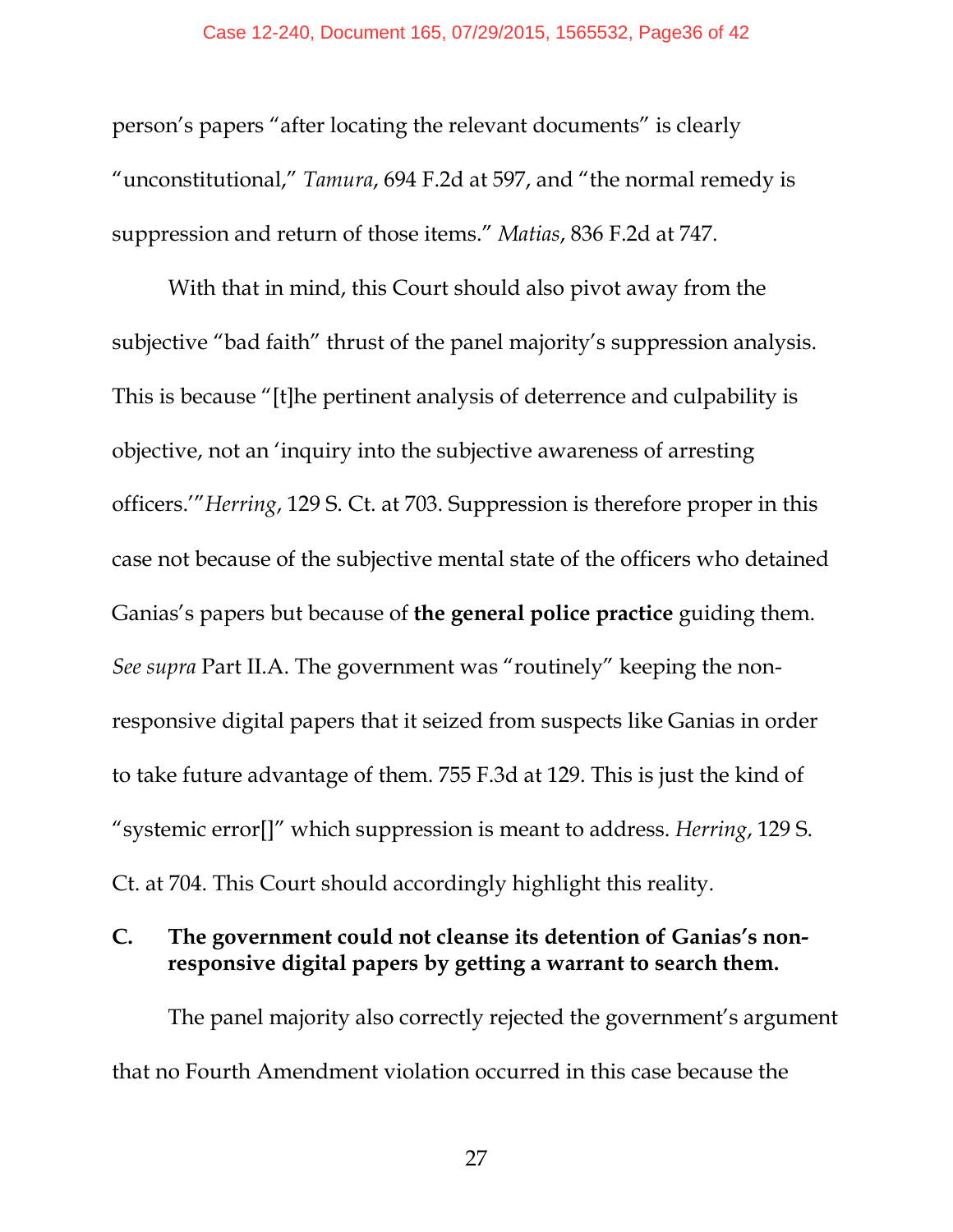person's papers "after locating the relevant documents" is clearly "unconstitutional," *Tamura*, 694 F.2d at 597, and "the normal remedy is suppression and return of those items." *Matias*, 836 F.2d at 747.

With that in mind, this Court should also pivot away from the subjective "bad faith" thrust of the panel majority's suppression analysis. This is because "[t]he pertinent analysis of deterrence and culpability is objective, not an 'inquiry into the subjective awareness of arresting officers.'"*Herring*, 129 S. Ct. at 703. Suppression is therefore proper in this case not because of the subjective mental state of the officers who detained Ganias's papers but because of **the general police practice** guiding them. *See supra* Part II.A. The government was "routinely" keeping the nonresponsive digital papers that it seized from suspects like Ganias in order to take future advantage of them. 755 F.3d at 129. This is just the kind of "systemic error[]" which suppression is meant to address. *Herring*, 129 S. Ct. at 704. This Court should accordingly highlight this reality.

#### **C. The government could not cleanse its detention of Ganias's nonresponsive digital papers by getting a warrant to search them.**

The panel majority also correctly rejected the government's argument that no Fourth Amendment violation occurred in this case because the

27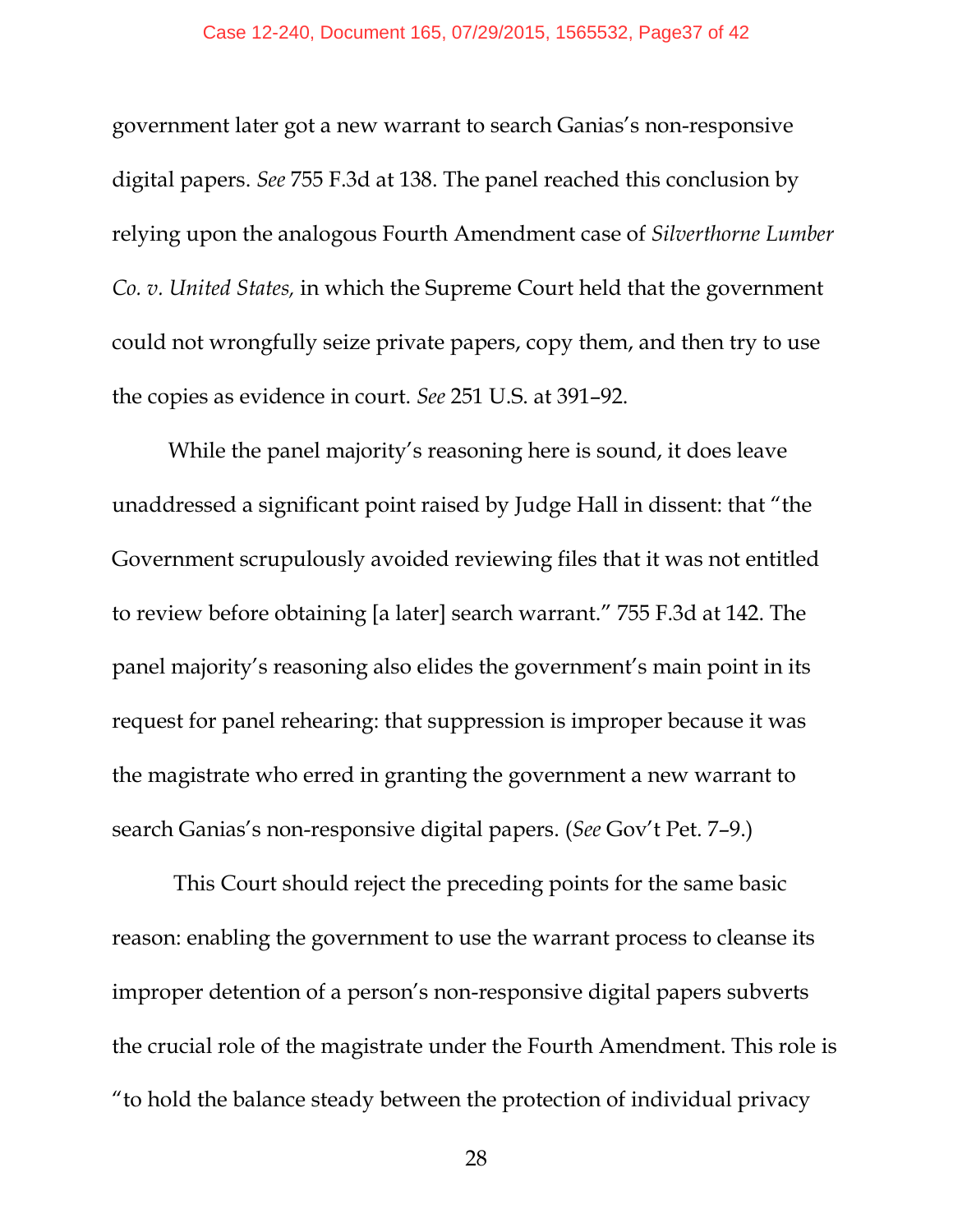government later got a new warrant to search Ganias's non-responsive digital papers. *See* 755 F.3d at 138. The panel reached this conclusion by relying upon the analogous Fourth Amendment case of *Silverthorne Lumber Co. v. United States,* in which the Supreme Court held that the government could not wrongfully seize private papers, copy them, and then try to use the copies as evidence in court. *See* 251 U.S. at 391–92.

 While the panel majority's reasoning here is sound, it does leave unaddressed a significant point raised by Judge Hall in dissent: that "the Government scrupulously avoided reviewing files that it was not entitled to review before obtaining [a later] search warrant." 755 F.3d at 142. The panel majority's reasoning also elides the government's main point in its request for panel rehearing: that suppression is improper because it was the magistrate who erred in granting the government a new warrant to search Ganias's non-responsive digital papers. (*See* Gov't Pet. 7–9.)

 This Court should reject the preceding points for the same basic reason: enabling the government to use the warrant process to cleanse its improper detention of a person's non-responsive digital papers subverts the crucial role of the magistrate under the Fourth Amendment. This role is "to hold the balance steady between the protection of individual privacy

28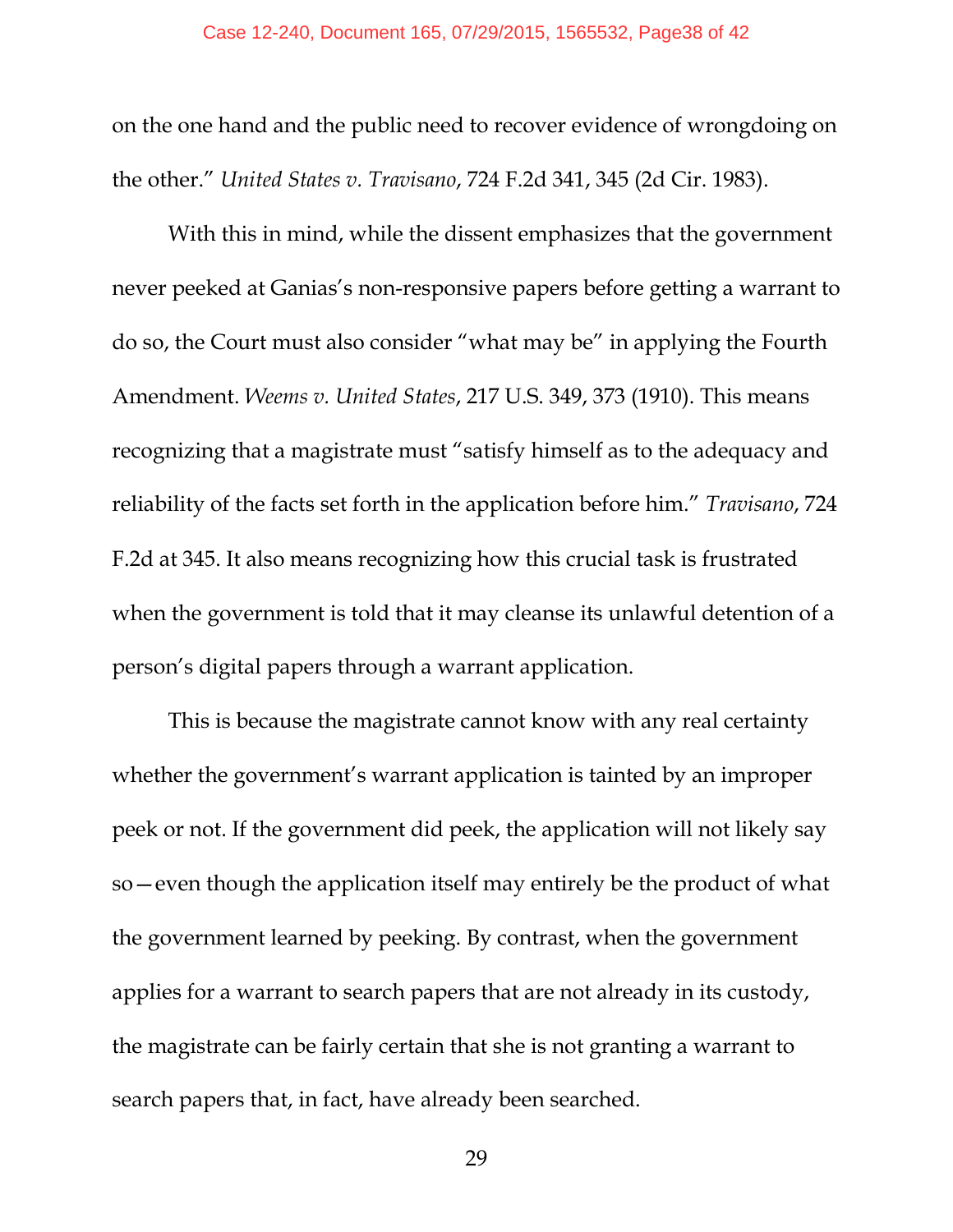on the one hand and the public need to recover evidence of wrongdoing on the other." *United States v. Travisano*, 724 F.2d 341, 345 (2d Cir. 1983).

With this in mind, while the dissent emphasizes that the government never peeked at Ganias's non-responsive papers before getting a warrant to do so, the Court must also consider "what may be" in applying the Fourth Amendment. *Weems v. United States*, 217 U.S. 349, 373 (1910). This means recognizing that a magistrate must "satisfy himself as to the adequacy and reliability of the facts set forth in the application before him." *Travisano*, 724 F.2d at 345. It also means recognizing how this crucial task is frustrated when the government is told that it may cleanse its unlawful detention of a person's digital papers through a warrant application.

This is because the magistrate cannot know with any real certainty whether the government's warrant application is tainted by an improper peek or not. If the government did peek, the application will not likely say so—even though the application itself may entirely be the product of what the government learned by peeking. By contrast, when the government applies for a warrant to search papers that are not already in its custody, the magistrate can be fairly certain that she is not granting a warrant to search papers that, in fact, have already been searched.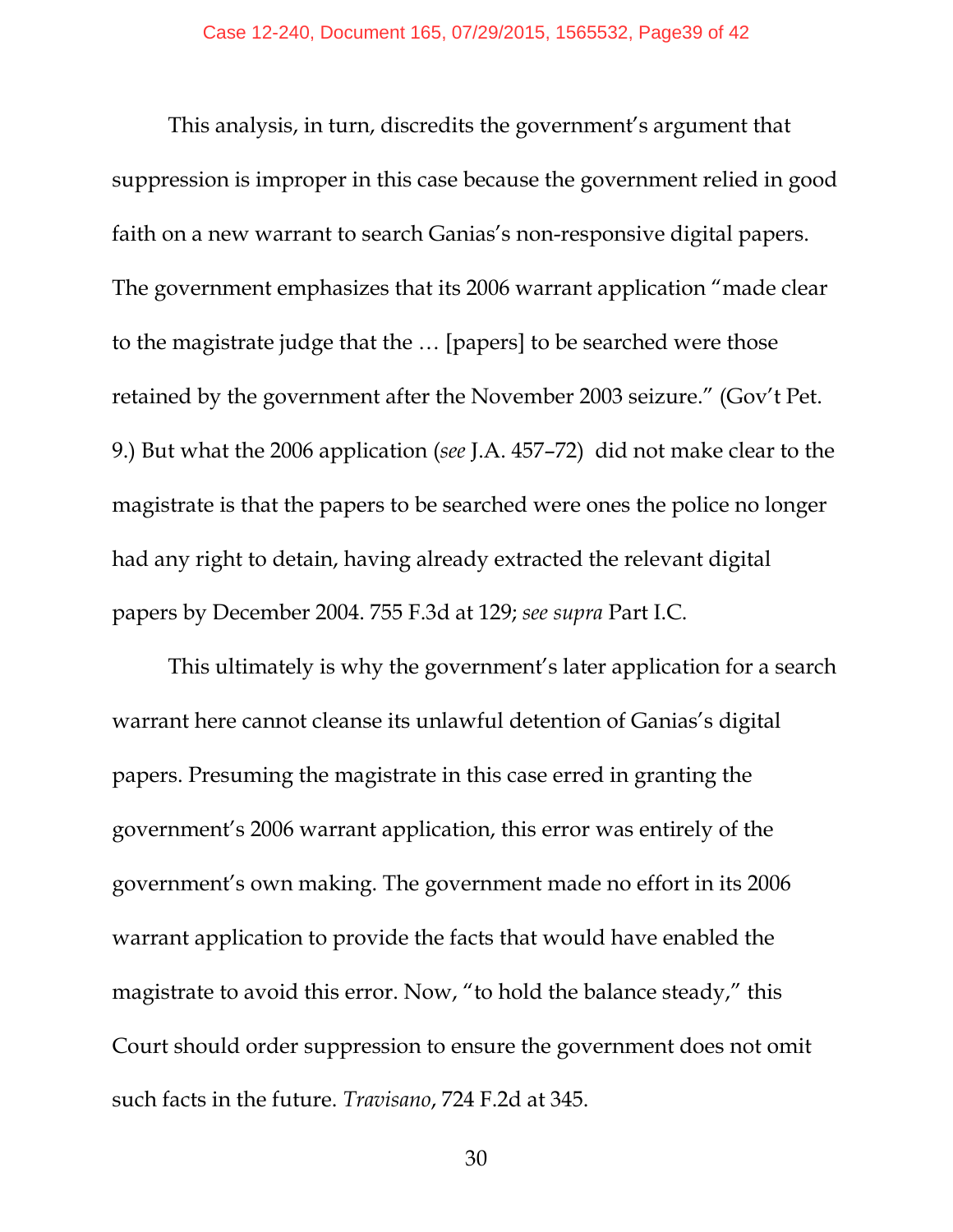This analysis, in turn, discredits the government's argument that suppression is improper in this case because the government relied in good faith on a new warrant to search Ganias's non-responsive digital papers. The government emphasizes that its 2006 warrant application "made clear to the magistrate judge that the … [papers] to be searched were those retained by the government after the November 2003 seizure." (Gov't Pet. 9.) But what the 2006 application (*see* J.A. 457–72) did not make clear to the magistrate is that the papers to be searched were ones the police no longer had any right to detain, having already extracted the relevant digital papers by December 2004. 755 F.3d at 129; *see supra* Part I.C.

This ultimately is why the government's later application for a search warrant here cannot cleanse its unlawful detention of Ganias's digital papers. Presuming the magistrate in this case erred in granting the government's 2006 warrant application, this error was entirely of the government's own making. The government made no effort in its 2006 warrant application to provide the facts that would have enabled the magistrate to avoid this error. Now, "to hold the balance steady," this Court should order suppression to ensure the government does not omit such facts in the future. *Travisano*, 724 F.2d at 345.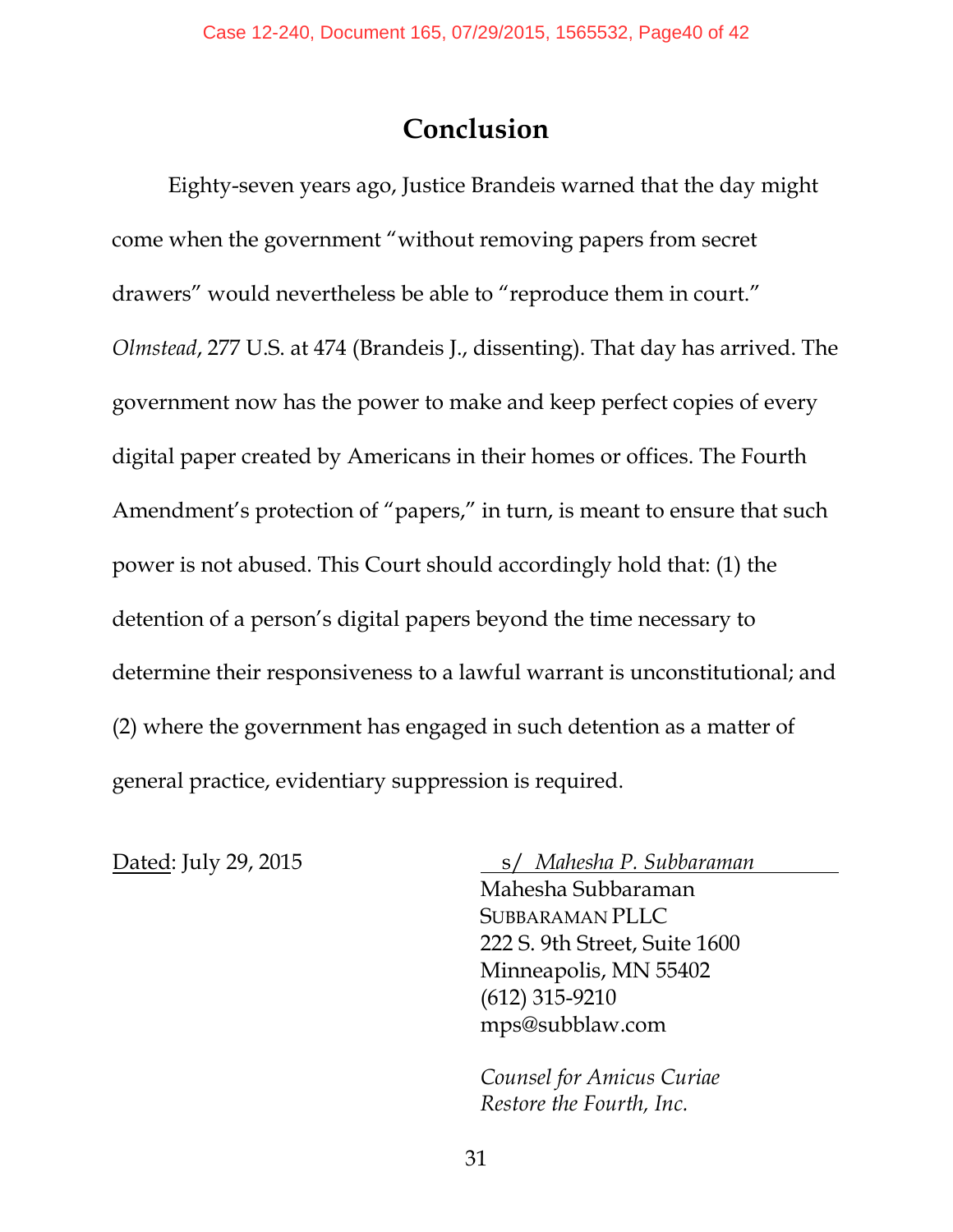## **Conclusion**

Eighty-seven years ago, Justice Brandeis warned that the day might come when the government "without removing papers from secret drawers" would nevertheless be able to "reproduce them in court." *Olmstead*, 277 U.S. at 474 (Brandeis J., dissenting). That day has arrived. The government now has the power to make and keep perfect copies of every digital paper created by Americans in their homes or offices. The Fourth Amendment's protection of "papers," in turn, is meant to ensure that such power is not abused. This Court should accordingly hold that: (1) the detention of a person's digital papers beyond the time necessary to determine their responsiveness to a lawful warrant is unconstitutional; and (2) where the government has engaged in such detention as a matter of general practice, evidentiary suppression is required.

Dated: July 29, 2015 s/ *Mahesha P. Subbaraman* 

Mahesha Subbaraman SUBBARAMAN PLLC 222 S. 9th Street, Suite 1600 Minneapolis, MN 55402 (612) 315-9210 mps@subblaw.com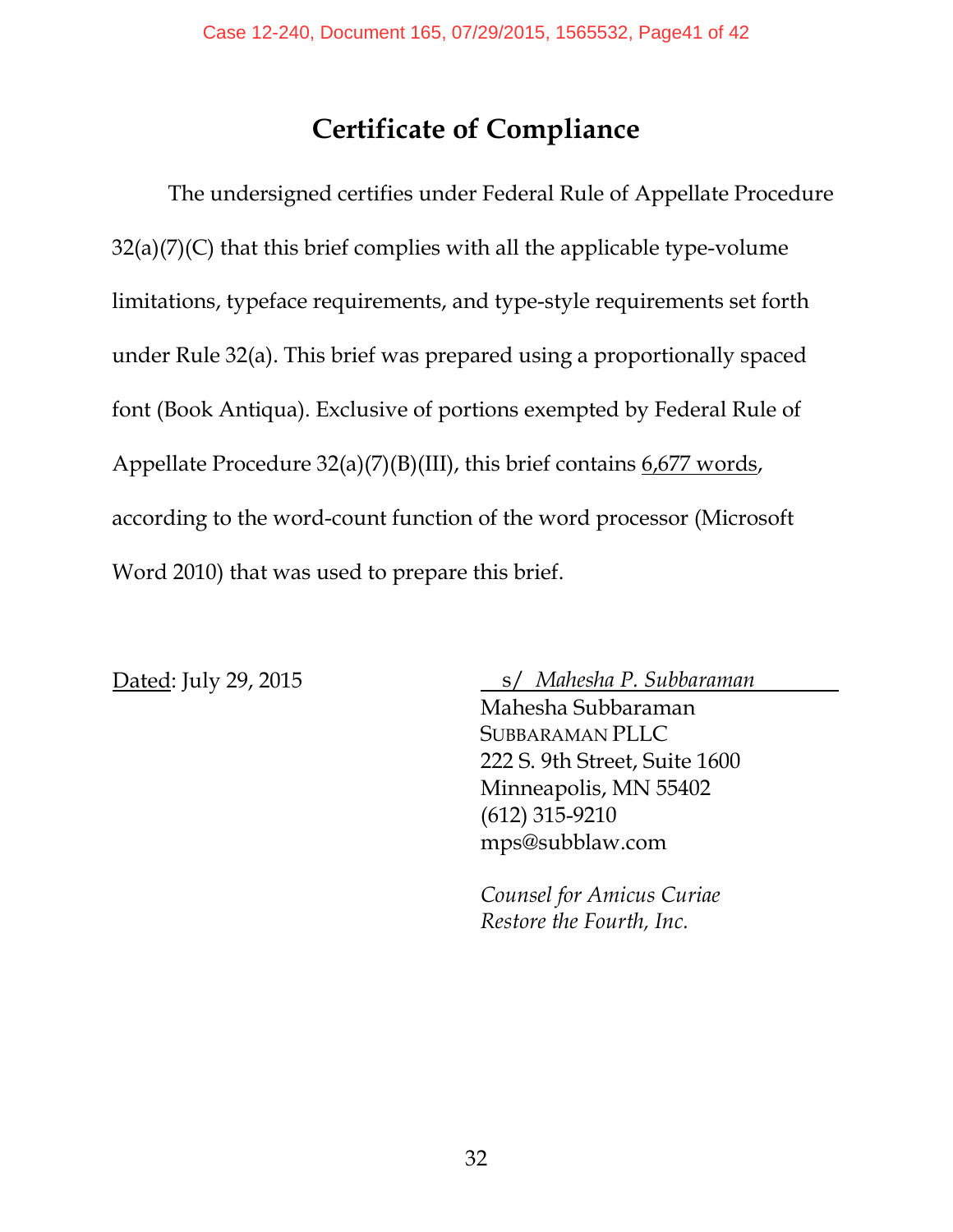## **Certificate of Compliance**

The undersigned certifies under Federal Rule of Appellate Procedure  $32(a)(7)(C)$  that this brief complies with all the applicable type-volume limitations, typeface requirements, and type-style requirements set forth under Rule 32(a). This brief was prepared using a proportionally spaced font (Book Antiqua). Exclusive of portions exempted by Federal Rule of Appellate Procedure 32(a)(7)(B)(III), this brief contains 6,677 words, according to the word-count function of the word processor (Microsoft Word 2010) that was used to prepare this brief.

Dated: July 29, 2015 s/ *Mahesha P. Subbaraman* 

Mahesha Subbaraman SUBBARAMAN PLLC 222 S. 9th Street, Suite 1600 Minneapolis, MN 55402 (612) 315-9210 mps@subblaw.com